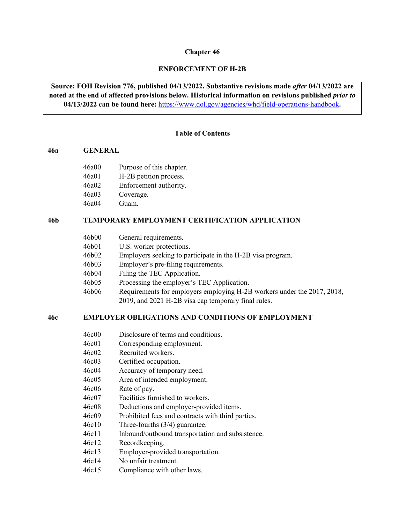#### **Chapter 46**

## **ENFORCEMENT OF H-2B**

**Source: FOH Revision 776, published 04/13/2022. Substantive revisions made** *after* **04/13/2022 are noted at the end of affected provisions below. Historical information on revisions published** *prior to* **04/13/2022 can be found here:** <https://www.dol.gov/agencies/whd/field-operations-handbook>**.** 

#### **Table of Contents**

#### **[46a GENERAL](#page-1-0)**

- 46a00 Purpose [of this chapter.](#page-1-1)
- [46a01 H-2B petition process.](#page-1-2)
- [46a02 Enforcement authority.](#page-2-0)
- [46a03 Coverage.](#page-4-0)
- [46a04 Guam.](#page-5-0)

### **46b [TEMPORARY EMPLOYMENT CERTIFICATION](#page-6-0) APPLICATION**

| 46b00 | General requirements.                                                                                                          |  |
|-------|--------------------------------------------------------------------------------------------------------------------------------|--|
| 46b01 | U.S. worker protections.                                                                                                       |  |
| 46b02 | Employers seeking to participate in the H-2B visa program.                                                                     |  |
| 46b03 | Employer's pre-filing requirements.                                                                                            |  |
| 46b04 | Filing the TEC Application.                                                                                                    |  |
| 46b05 | Processing the employer's TEC Application.                                                                                     |  |
| 46b06 | Requirements for employers employing H-2B workers under the 2017, 2018,<br>2019, and 2021 H-2B visa cap temporary final rules. |  |

## **46c EMPLOYER OBLIGATIONS [AND CONDITIONS OF EMPLOYMENT](#page-15-0)**

| 46c00     | Disclosure of terms and conditions.               |
|-----------|---------------------------------------------------|
| 46c01     | Corresponding employment.                         |
| 46c02     | Recruited workers.                                |
| 46c03     | Certified occupation.                             |
| 46c04     | Accuracy of temporary need.                       |
| $46c$ 0.5 | Area of intended employment.                      |
| 46c06     | Rate of pay.                                      |
| 46c07     | Facilities furnished to workers.                  |
| 46c08     | Deductions and employer-provided items.           |
| 46c09     | Prohibited fees and contracts with third parties. |
| 46c10     | Three-fourths $(3/4)$ guarantee.                  |
| 46c11     | Inbound/outbound transportation and subsistence.  |
| 46c12     | Recordkeeping.                                    |
| 46c13     | Employer-provided transportation.                 |
|           |                                                   |

- [46c14 No unfair treatment.](#page-29-1)
- [46c15 Compliance with other laws.](#page-30-0)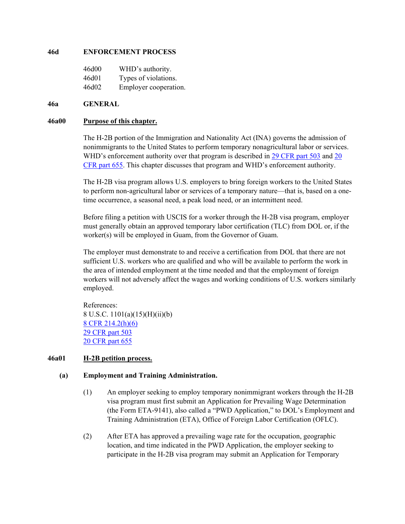#### **[46d ENFORCEMENT PROCESS](#page-31-0)**

| 46d00 | WHD's authority.      |
|-------|-----------------------|
| 46d01 | Types of violations.  |
| 46d02 | Employer cooperation. |

#### <span id="page-1-0"></span>**46a GENERAL**

#### <span id="page-1-1"></span>**46a00 Purpose of this chapter.**

The H-2B portion of the Immigration and Nationality Act (INA) governs the admission of nonimmigrants to the United States to perform temporary nonagricultural labor or services. WHD's enforcement authority over that program is described in [29 CFR](https://www.ecfr.gov/current/title-29/subtitle-B/chapter-V/subchapter-A/part-503/subpart-B/section-503.16) part 503 and 20 [CFR part](https://www.ecfr.gov/current/title-20/chapter-V/part-655/subpart-A/section-655.5) 655. This chapter discusses that program and WHD's enforcement authority.

The H-2B visa program allows U.S. employers to bring foreign workers to the United States to perform non-agricultural labor or services of a temporary nature—that is, based on a onetime occurrence, a seasonal need, a peak load need, or an intermittent need.

Before filing a petition with USCIS for a worker through the H-2B visa program, employer must generally obtain an approved temporary labor certification (TLC) from DOL or, if the worker(s) will be employed in Guam, from the Governor of Guam.

The employer must demonstrate to and receive a certification from DOL that there are not sufficient U.S. workers who are qualified and who will be available to perform the work in the area of intended employment at the time needed and that the employment of foreign workers will not adversely affect the wages and working conditions of U.S. workers similarly employed.

References: 8 U.S.C. 1101(a)(15)(H)(ii)(b) [8 CFR 214.2\(h\)\(6\)](https://www.ecfr.gov/current/title-8/chapter-I/subchapter-B/part-214/section-214.2#p-214.2(h)(6)) [29 CFR part 503](https://ecfr.federalregister.gov/current/title-29/subtitle-B/chapter-V/subchapter-A/part-503?toc=1) [20 CFR part 655](https://ecfr.federalregister.gov/current/title-20/chapter-V/part-655/subpart-A/subject-group-ECFRae4bb67a02047fb/section-655.18)

### <span id="page-1-2"></span>**46a01 H-2B petition process.**

### **(a) Employment and Training Administration.**

- (1) An employer seeking to employ temporary nonimmigrant workers through the H-2B visa program must first submit an Application for Prevailing Wage Determination (the Form ETA-9141), also called a "PWD Application," to DOL's Employment and Training Administration (ETA), Office of Foreign Labor Certification (OFLC).
- (2) After ETA has approved a prevailing wage rate for the occupation, geographic location, and time indicated in the PWD Application, the employer seeking to participate in the H-2B visa program may submit an Application for Temporary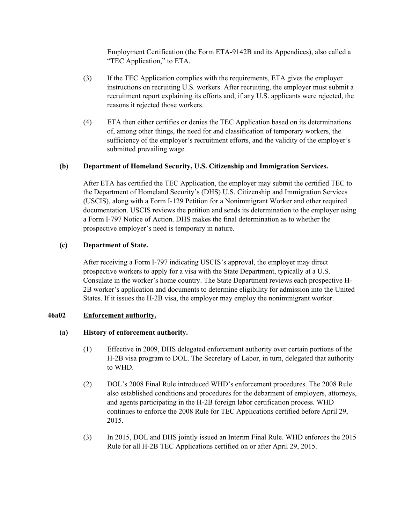Employment Certification (the Form ETA-9142B and its Appendices), also called a "TEC Application," to ETA.

- (3) If the TEC Application complies with the requirements, ETA gives the employer instructions on recruiting U.S. workers. After recruiting, the employer must submit a recruitment report explaining its efforts and, if any U.S. applicants were rejected, the reasons it rejected those workers.
- (4) ETA then either certifies or denies the TEC Application based on its determinations of, among other things, the need for and classification of temporary workers, the sufficiency of the employer's recruitment efforts, and the validity of the employer's submitted prevailing wage.

## **(b) Department of Homeland Security, U.S. Citizenship and Immigration Services.**

After ETA has certified the TEC Application, the employer may submit the certified TEC to the Department of Homeland Security's (DHS) U.S. Citizenship and Immigration Services (USCIS), along with a Form I-129 Petition for a Nonimmigrant Worker and other required documentation. USCIS reviews the petition and sends its determination to the employer using a Form I-797 Notice of Action. DHS makes the final determination as to whether the prospective employer's need is temporary in nature.

## **(c) Department of State.**

After receiving a Form I-797 indicating USCIS's approval, the employer may direct prospective workers to apply for a visa with the State Department, typically at a U.S. Consulate in the worker's home country. The State Department reviews each prospective H-2B worker's application and documents to determine eligibility for admission into the United States. If it issues the H-2B visa, the employer may employ the nonimmigrant worker.

### <span id="page-2-0"></span>**46a02 Enforcement authority.**

### **(a) History of enforcement authority.**

- (1) Effective in 2009, DHS delegated enforcement authority over certain portions of the H-2B visa program to DOL. The Secretary of Labor, in turn, delegated that authority to WHD.
- (2) DOL's 2008 Final Rule introduced WHD's enforcement procedures. The 2008 Rule also established conditions and procedures for the debarment of employers, attorneys, and agents participating in the H-2B foreign labor certification process. WHD continues to enforce the 2008 Rule for TEC Applications certified before April 29, 2015.
- (3) In 2015, DOL and DHS jointly issued an Interim Final Rule. WHD enforces the 2015 Rule for all H-2B TEC Applications certified on or after April 29, 2015.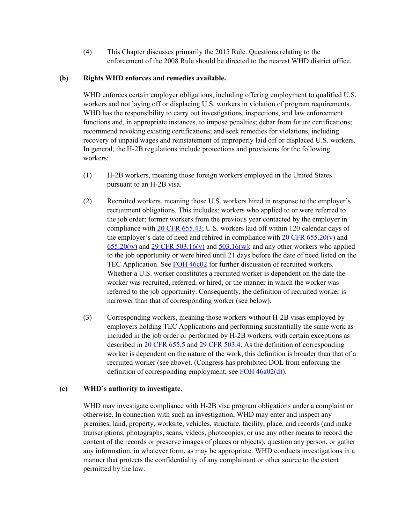(4) This Chapter discusses primarily the 2015 Rule. Questions relating to the enforcement of the 2008 Rule should be directed to the nearest WHD district office.

## **(b) Rights WHD enforces and remedies available.**

WHD enforces certain employer obligations, including offering employment to qualified U.S. workers and not laying off or displacing U.S. workers in violation of program requirements. WHD has the responsibility to carry out investigations, inspections, and law enforcement functions and, in appropriate instances, to impose penalties; debar from future certifications; recommend revoking existing certifications; and seek remedies for violations, including recovery of unpaid wages and reinstatement of improperly laid off or displaced U.S. workers. In general, the H-2B regulations include protections and provisions for the following workers:

- (1) H-2B workers, meaning those foreign workers employed in the United States pursuant to an H-2B visa.
- (2) Recruited workers, meaning those U.S. workers hired in response to the employer's recruitment obligations. This includes: workers who applied to or were referred to the job order; former workers from the previous year contacted by the employer in compliance with [20 CFR 655.43;](https://www.ecfr.gov/current/title-20/chapter-V/part-655/subpart-A/subject-group-ECFR1fea603af3f860d/section-655.43) U.S. workers laid off within 120 calendar days of the employer's date of need and rehired in compliance with  $20 \text{ CFR } 655.20(v)$  and  $655.20(w)$  and  $29$  CFR  $503.16(v)$  and  $503.16(w)$ ; and any other workers who applied to the job opportunity or were hired until 21 days before the date of need listed on the TEC Application. See [FOH 46c02](#page-16-1) for further discussion of recruited workers. Whether a U.S. worker constitutes a recruited worker is dependent on the date the worker was recruited, referred, or hired, or the manner in which the worker was referred to the job opportunity. Consequently, the definition of recruited worker is narrower than that of corresponding worker (see below).
- (3) Corresponding workers, meaning those workers without H-2B visas employed by employers holding TEC Applications and performing substantially the same work as included in the job order or performed by H-2B workers, with certain exceptions as described in [20 CFR 655.5](https://www.ecfr.gov/current/title-20/chapter-V/part-655/subpart-A/section-655.5) and [29 CFR 503.4.](https://www.ecfr.gov/current/title-29/subtitle-B/chapter-V/subchapter-A/part-503/subpart-A/section-503.4) As the definition of corresponding worker is dependent on the nature of the work, this definition is broader than that of a recruited worker (see above). (Congress has prohibited DOL from enforcing the definition of corresponding employment; see [FOH 46a02\(d\)\)](#page-2-0).

# **(c) WHD's authority to investigate.**

WHD may investigate compliance with H-2B visa program obligations under a complaint or otherwise. In connection with such an investigation, WHD may enter and inspect any premises, land, property, worksite, vehicles, structure, facility, place, and records (and make transcriptions, photographs, scans, videos, photocopies, or use any other means to record the content of the records or preserve images of places or objects), question any person, or gather any information, in whatever form, as may be appropriate. WHD conducts investigations in a manner that protects the confidentiality of any complainant or other source to the extent permitted by the law.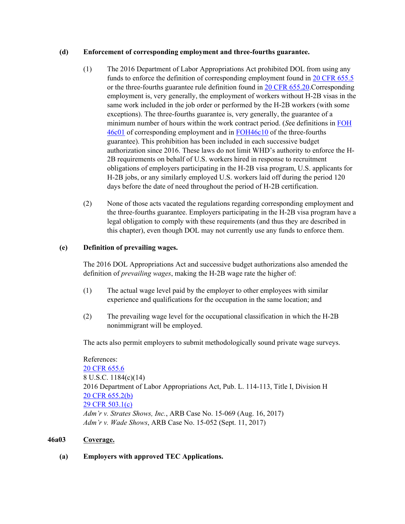## **(d) Enforcement of corresponding employment and three-fourths guarantee.**

- (1) The 2016 Department of Labor Appropriations Act prohibited DOL from using any funds to enforce the definition of corresponding employment found in [20 CFR 655.5](https://www.ecfr.gov/current/title-20/chapter-V/part-655/subpart-A/section-655.5) or the three-fourths guarantee rule definition found in [20 CFR 655.20.](https://www.ecfr.gov/current/title-20/chapter-V/part-655/subpart-A/subject-group-ECFRae36799c508ea0f/section-655.20)Corresponding employment is, very generally, the employment of workers without H-2B visas in the same work included in the job order or performed by the H-2B workers (with some exceptions). The three-fourths guarantee is, very generally, the guarantee of a minimum number of hours within the work contract period. (*S*ee definitions in [FOH](#page-16-0)  [46c01](#page-16-0) of corresponding employment and in [FOH46c10](#page-26-0) of the three-fourths guarantee). This prohibition has been included in each successive budget authorization since 2016. These laws do not limit WHD's authority to enforce the H-2B requirements on behalf of U.S. workers hired in response to recruitment obligations of employers participating in the H-2B visa program, U.S. applicants for H-2B jobs, or any similarly employed U.S. workers laid off during the period 120 days before the date of need throughout the period of H-2B certification.
- (2) None of those acts vacated the regulations regarding corresponding employment and the three-fourths guarantee. Employers participating in the H-2B visa program have a legal obligation to comply with these requirements (and thus they are described in this chapter), even though DOL may not currently use any funds to enforce them.

# **(e) Definition of prevailing wages.**

The 2016 DOL Appropriations Act and successive budget authorizations also amended the definition of *prevailing wages*, making the H-2B wage rate the higher of:

- (1) The actual wage level paid by the employer to other employees with similar experience and qualifications for the occupation in the same location; and
- (2) The prevailing wage level for the occupational classification in which the H-2B nonimmigrant will be employed.

The acts also permit employers to submit methodologically sound private wage surveys.

References: [20 CFR 655.6](https://www.ecfr.gov/current/title-20/chapter-V/part-655/subpart-A/section-655.6) 8 U.S.C. 1184(c)(14) 2016 Department of Labor Appropriations Act, Pub. L. 114-113, Title I, Division H [20 CFR 655.2\(b\)](https://ecfr.federalregister.gov/current/title-20/chapter-V/part-655#p-655.2(b)) [29 CFR 503.1\(c\)](https://ecfr.federalregister.gov/current/title-29/subtitle-B/chapter-V/subchapter-A/part-503/subpart-A/section-503.1#p-503.1(c)) *Adm'r v. Strates Shows, Inc.*, ARB Case No. 15-069 (Aug. 16, 2017) *Adm'r v. Wade Shows*, ARB Case No. 15-052 (Sept. 11, 2017)

# <span id="page-4-0"></span>**46a03 Coverage.**

# **(a) Employers with approved TEC Applications.**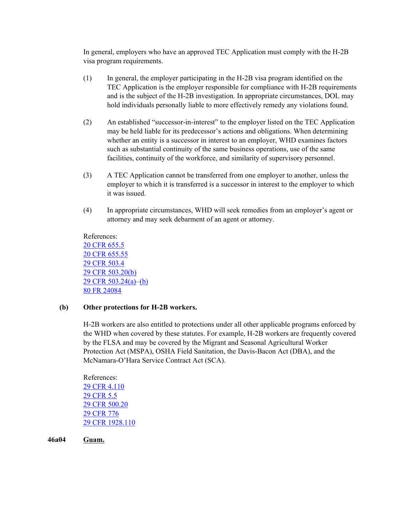In general, employers who have an approved TEC Application must comply with the H-2B visa program requirements.

- (1) In general, the employer participating in the H-2B visa program identified on the TEC Application is the employer responsible for compliance with H-2B requirements and is the subject of the H-2B investigation. In appropriate circumstances, DOL may hold individuals personally liable to more effectively remedy any violations found.
- (2) An established "successor-in-interest" to the employer listed on the TEC Application may be held liable for its predecessor's actions and obligations. When determining whether an entity is a successor in interest to an employer, WHD examines factors such as substantial continuity of the same business operations, use of the same facilities, continuity of the workforce, and similarity of supervisory personnel.
- (3) A TEC Application cannot be transferred from one employer to another, unless the employer to which it is transferred is a successor in interest to the employer to which it was issued.
- (4) In appropriate circumstances, WHD will seek remedies from an employer's agent or attorney and may seek debarment of an agent or attorney.

References: [20 CFR 655.5](https://www.ecfr.gov/current/title-20/chapter-V/part-655/subpart-A/section-655.5) [20 CFR 655.55](https://www.ecfr.gov/current/title-20/chapter-V/part-655/subpart-A/subject-group-ECFR6c9d2ee99143e91/section-655.55) [29 CFR 503.4](https://ecfr.federalregister.gov/current/title-29/subtitle-B/chapter-V/subchapter-A/part-503/subpart-A/section-503.4) [29 CFR 503.20\(b\)](https://ecfr.federalregister.gov/current/title-29/subtitle-B/chapter-V/subchapter-A/part-503/subpart-B/section-503.20) [29 CFR 503.24\(a\)–](https://www.ecfr.gov/current/title-29/subtitle-B/chapter-V/subchapter-A/part-503/subpart-B/section-503.24#p-503.24(a))[\(b\)](https://www.ecfr.gov/current/title-29/subtitle-B/chapter-V/subchapter-A/part-503/subpart-B/section-503.24#p-503.24(b)) [80 FR 24084](https://www.federalregister.gov/documents/2015/04/29/2015-09694/temporary-non-agricultural-employment-of-h-2b-aliens-in-the-united-states)

# **(b) Other protections for H-2B workers.**

H-2B workers are also entitled to protections under all other applicable programs enforced by the WHD when covered by these statutes. For example, H-2B workers are frequently covered by the FLSA and may be covered by the Migrant and Seasonal Agricultural Worker Protection Act (MSPA), OSHA Field Sanitation, the Davis-Bacon Act (DBA), and the McNamara-O'Hara Service Contract Act (SCA).

References: [29 CFR 4.110](https://ecfr.federalregister.gov/current/title-29/subtitle-A/part-4/subpart-C/subject-group-ECFR8772d074bb28a9d/section-4.110) [29 CFR 5.5](https://ecfr.federalregister.gov/current/title-29/subtitle-A/part-5/subpart-A/section-5.5) [29 CFR 500.20](https://ecfr.federalregister.gov/current/title-29/subtitle-B/chapter-V/subchapter-A/part-500/subpart-A/section-500.20) [29 CFR 776](https://ecfr.federalregister.gov/current/title-29/subtitle-B/chapter-V/subchapter-B/part-776) [29 CFR 1928.110](https://ecfr.federalregister.gov/current/title-29/subtitle-B/chapter-XVII/part-1928/subpart-I/section-1928.110)

<span id="page-5-0"></span>**46a04 Guam.**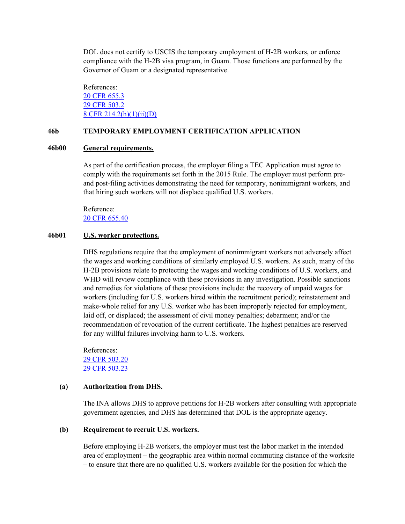DOL does not certify to USCIS the temporary employment of H-2B workers, or enforce compliance with the H-2B visa program, in Guam. Those functions are performed by the Governor of Guam or a designated representative.

References: [20 CFR 655.3](https://ecfr.federalregister.gov/current/title-20/chapter-V/part-655/subpart-A/section-655.3) [29 CFR 503.2](https://ecfr.federalregister.gov/current/title-29/subtitle-B/chapter-V/subchapter-A/part-503/subpart-A/section-503.2) [8 CFR 214.2\(h\)\(1\)\(ii\)\(D\)](https://ecfr.federalregister.gov/current/title-8/chapter-I/subchapter-B/part-214/section-214.2)

## <span id="page-6-0"></span>**46b TEMPORARY EMPLOYMENT CERTIFICATION APPLICATION**

#### <span id="page-6-1"></span>**46b00 General requirements.**

As part of the certification process, the employer filing a TEC Application must agree to comply with the requirements set forth in the 2015 Rule. The employer must perform preand post-filing activities demonstrating the need for temporary, nonimmigrant workers, and that hiring such workers will not displace qualified U.S. workers.

Reference: [20 CFR 655.40](https://ecfr.federalregister.gov/current/title-20/chapter-V/part-655/subpart-A/subject-group-ECFRea223c282a7e9ad)

#### <span id="page-6-2"></span>**46b01 U.S. worker protections.**

DHS regulations require that the employment of nonimmigrant workers not adversely affect the wages and working conditions of similarly employed U.S. workers. As such, many of the H-2B provisions relate to protecting the wages and working conditions of U.S. workers, and WHD will review compliance with these provisions in any investigation. Possible sanctions and remedies for violations of these provisions include: the recovery of unpaid wages for workers (including for U.S. workers hired within the recruitment period); reinstatement and make-whole relief for any U.S. worker who has been improperly rejected for employment, laid off, or displaced; the assessment of civil money penalties; debarment; and/or the recommendation of revocation of the current certificate. The highest penalties are reserved for any willful failures involving harm to U.S. workers.

References: [29 CFR 503.20](https://www.ecfr.gov/current/title-29/subtitle-B/chapter-V/subchapter-A/part-503/subpart-B/section-503.20)  [29 CFR 503.23](https://www.ecfr.gov/current/title-29/subtitle-B/chapter-V/subchapter-A/part-503/subpart-B/section-503.23) 

#### **(a) Authorization from DHS.**

The INA allows DHS to approve petitions for H-2B workers after consulting with appropriate government agencies, and DHS has determined that DOL is the appropriate agency.

#### **(b) Requirement to recruit U.S. workers.**

Before employing H-2B workers, the employer must test the labor market in the intended area of employment – the geographic area within normal commuting distance of the worksite – to ensure that there are no qualified U.S. workers available for the position for which the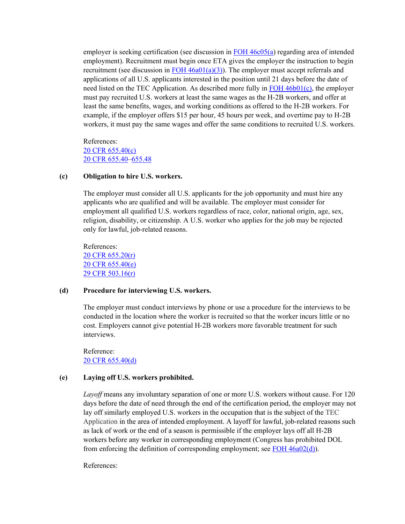employer is seeking certification (see discussion in [FOH 46c05\(a\)](#page-19-0) regarding area of intended employment). Recruitment must begin once ETA gives the employer the instruction to begin recruitment (see discussion in  $FOH 46a01(a)(3)$ ). The employer must accept referrals and applications of all U.S. applicants interested in the position until 21 days before the date of need listed on the TEC Application. As described more fully in FOH  $46b01(c)$ , the employer must pay recruited U.S. workers at least the same wages as the H-2B workers, and offer at least the same benefits, wages, and working conditions as offered to the H-2B workers. For example, if the employer offers \$15 per hour, 45 hours per week, and overtime pay to H-2B workers, it must pay the same wages and offer the same conditions to recruited U.S. workers.

References: [20 CFR 655.40\(](https://ecfr.federalregister.gov/current/title-20/chapter-V/part-655/subpart-A/subject-group-ECFRea223c282a7e9ad)c) [20 CFR 655.40–](https://ecfr.federalregister.gov/current/title-20/chapter-V/part-655/subpart-A/subject-group-ECFRea223c282a7e9ad/section-655.40)[655.48](https://ecfr.federalregister.gov/current/title-20/chapter-V/part-655/subpart-A/subject-group-ECFRea223c282a7e9ad/section-655.48)

#### **(c) Obligation to hire U.S. workers.**

The employer must consider all U.S. applicants for the job opportunity and must hire any applicants who are qualified and will be available. The employer must consider for employment all qualified U.S. workers regardless of race, color, national origin, age, sex, religion, disability, or citizenship. A U.S. worker who applies for the job may be rejected only for lawful, job-related reasons.

References: [20 CFR 655.20\(r\)](https://ecfr.federalregister.gov/current/title-20/chapter-V/part-655/subpart-A/subject-group-ECFR336f15c59465a9a/section-655.20) [20 CFR 655.40\(](https://ecfr.federalregister.gov/current/title-20/chapter-V/part-655/subpart-A/subject-group-ECFRea223c282a7e9ad)e) [29 CFR 503.16\(r\)](https://www.ecfr.gov/current/title-29/subtitle-B/chapter-V/subchapter-A/part-503/subpart-B/section-503.16#p-503.16(r))

#### **(d) Procedure for interviewing U.S. workers.**

The employer must conduct interviews by phone or use a procedure for the interviews to be conducted in the location where the worker is recruited so that the worker incurs little or no cost. Employers cannot give potential H-2B workers more favorable treatment for such interviews.

Reference: [20 CFR 655.40\(](https://ecfr.federalregister.gov/current/title-20/chapter-V/part-655/subpart-A/subject-group-ECFRea223c282a7e9ad)d)

#### **(e) Laying off U.S. workers prohibited.**

*Layoff* means any involuntary separation of one or more U.S. workers without cause. For 120 days before the date of need through the end of the certification period, the employer may not lay off similarly employed U.S. workers in the occupation that is the subject of the TEC Application in the area of intended employment. A layoff for lawful, job-related reasons such as lack of work or the end of a season is permissible if the employer lays off all H-2B workers before any worker in corresponding employment (Congress has prohibited DOL from enforcing the definition of corresponding employment; see [FOH 46a02\(d\)\)](#page-2-0).

References: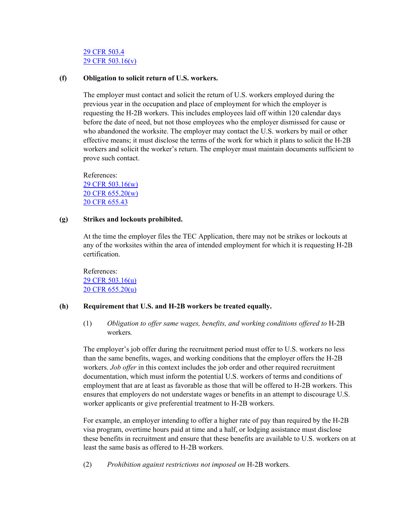## [29 CFR 503.4](https://ecfr.federalregister.gov/current/title-29/subtitle-B/chapter-V/subchapter-A/part-503/subpart-A/section-503.4) [29 CFR 503.16\(v\)](https://ecfr.federalregister.gov/current/title-29/subtitle-B/chapter-V/subchapter-A/part-503/subpart-B/section-503.16)

### **(f) Obligation to solicit return of U.S. workers.**

The employer must contact and solicit the return of U.S. workers employed during the previous year in the occupation and place of employment for which the employer is requesting the H-2B workers. This includes employees laid off within 120 calendar days before the date of need, but not those employees who the employer dismissed for cause or who abandoned the worksite. The employer may contact the U.S. workers by mail or other effective means; it must disclose the terms of the work for which it plans to solicit the H-2B workers and solicit the worker's return. The employer must maintain documents sufficient to prove such contact.

References: [29 CFR 503.16\(w\)](https://ecfr.federalregister.gov/current/title-29/subtitle-B/chapter-V/subchapter-A/part-503/subpart-B/section-503.16) [20 CFR 655.20\(w\)](https://www.ecfr.gov/current/title-20/chapter-V/part-655/subpart-A/subject-group-ECFRae36799c508ea0f/section-655.20#p-655.20(w)) [20 CFR 655.43](https://ecfr.federalregister.gov/current/title-20/chapter-V/part-655/subpart-A/subject-group-ECFRea223c282a7e9ad/section-655.43)

#### **(g) Strikes and lockouts prohibited.**

At the time the employer files the TEC Application, there may not be strikes or lockouts at any of the worksites within the area of intended employment for which it is requesting H-2B certification.

References: [29 CFR 503.16\(u\)](https://ecfr.federalregister.gov/current/title-29/subtitle-B/chapter-V/subchapter-A/part-503/subpart-B/section-503.16) [20 CFR 655.20\(u\)](https://www.ecfr.gov/current/title-20/chapter-V/part-655/subpart-A/subject-group-ECFRae36799c508ea0f/section-655.20#p-655.20(u))

### **(h) Requirement that U.S. and H-2B workers be treated equally.**

(1) *Obligation to offer same wages, benefits, and working conditions offered to* H-2B workers*.* 

The employer's job offer during the recruitment period must offer to U.S. workers no less than the same benefits, wages, and working conditions that the employer offers the H-2B workers. *Job offer* in this context includes the job order and other required recruitment documentation, which must inform the potential U.S. workers of terms and conditions of employment that are at least as favorable as those that will be offered to H-2B workers. This ensures that employers do not understate wages or benefits in an attempt to discourage U.S. worker applicants or give preferential treatment to H-2B workers.

For example, an employer intending to offer a higher rate of pay than required by the H-2B visa program, overtime hours paid at time and a half, or lodging assistance must disclose these benefits in recruitment and ensure that these benefits are available to U.S. workers on at least the same basis as offered to H-2B workers.

(2) *Prohibition against restrictions not imposed on* H-2B workers*.*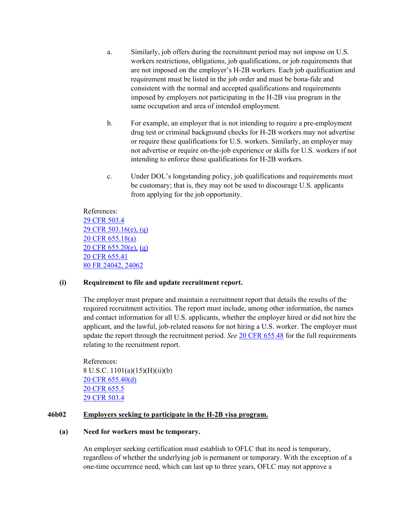- a. Similarly, job offers during the recruitment period may not impose on U.S. workers restrictions, obligations, job qualifications, or job requirements that are not imposed on the employer's H-2B workers. Each job qualification and requirement must be listed in the job order and must be bona-fide and consistent with the normal and accepted qualifications and requirements imposed by employers not participating in the H-2B visa program in the same occupation and area of intended employment.
- b. For example, an employer that is not intending to require a pre-employment drug test or criminal background checks for H-2B workers may not advertise or require these qualifications for U.S. workers. Similarly, an employer may not advertise or require on-the-job experience or skills for U.S. workers if not intending to enforce these qualifications for H-2B workers.
- c. Under DOL's longstanding policy, job qualifications and requirements must be customary; that is, they may not be used to discourage U.S. applicants from applying for the job opportunity.

References: [29 CFR 503.4](https://ecfr.federalregister.gov/current/title-29/subtitle-B/chapter-V/subchapter-A/part-503/subpart-A/section-503.4) [29 CFR 503.16\(e\), \(q\)](https://ecfr.federalregister.gov/current/title-29/subtitle-B/chapter-V/subchapter-A/part-503/subpart-B/section-503.16) [20 CFR 655.18\(a\)](https://ecfr.federalregister.gov/current/title-20/chapter-V/part-655/subpart-A/subject-group-ECFRae4bb67a02047fb/section-655.18)  [20 CFR 655.20\(e\),](https://www.ecfr.gov/current/title-20/chapter-V/part-655/subpart-A/subject-group-ECFRae36799c508ea0f/section-655.20#p-655.20(e)) [\(q\)](https://www.ecfr.gov/current/title-20/chapter-V/part-655/subpart-A/subject-group-ECFRae36799c508ea0f/section-655.20#p-655.20(q))  [20 CFR 655.41](https://ecfr.federalregister.gov/current/title-20/chapter-V/part-655/subpart-A/subject-group-ECFRea223c282a7e9ad/section-655.41) [80 FR 24042, 24062](https://www.federalregister.gov/documents/2015/04/29/2015-09694/temporary-non-agricultural-employment-of-h-2b-aliens-in-the-united-states)

### **(i) Requirement to file and update recruitment report.**

The employer must prepare and maintain a recruitment report that details the results of the required recruitment activities. The report must include, among other information, the names and contact information for all U.S. applicants, whether the employer hired or did not hire the applicant, and the lawful, job-related reasons for not hiring a U.S. worker. The employer must update the report through the recruitment period. *See* [20 CFR 655.48](https://www.ecfr.gov/current/title-20/chapter-V/part-655/subpart-A/subject-group-ECFR1fea603af3f860d/section-655.48) for the full requirements relating to the recruitment report.

References: 8 U.S.C. 1101(a)(15)(H)(ii)(b) [20 CFR 655.40\(d\)](https://ecfr.federalregister.gov/current/title-20/chapter-V/part-655/subpart-A/subject-group-ECFRea223c282a7e9ad/section-655.40) [20 CFR 655.5](https://ecfr.federalregister.gov/current/title-20/chapter-V/part-655/subpart-A/section-655.5) [29 CFR 503.4](https://ecfr.federalregister.gov/current/title-29/subtitle-B/chapter-V/subchapter-A/part-503/subpart-A/section-503.4)

### <span id="page-9-0"></span>**46b02 Employers seeking to participate in the H-2B visa program.**

#### **(a) Need for workers must be temporary.**

An employer seeking certification must establish to OFLC that its need is temporary, regardless of whether the underlying job is permanent or temporary. With the exception of a one-time occurrence need, which can last up to three years, OFLC may not approve a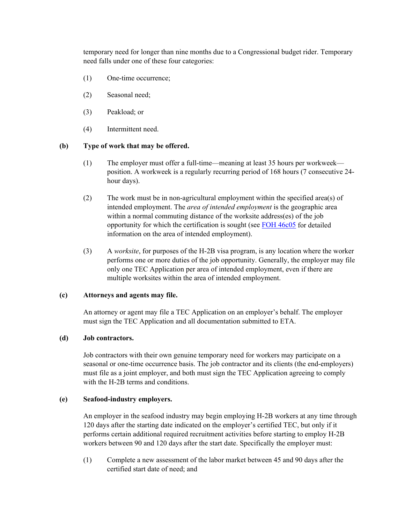temporary need for longer than nine months due to a Congressional budget rider. Temporary need falls under one of these four categories:

- (1) One-time occurrence;
- (2) Seasonal need;
- (3) Peakload; or
- (4) Intermittent need.

### **(b) Type of work that may be offered.**

- (1) The employer must offer a full-time—meaning at least 35 hours per workweek position. A workweek is a regularly recurring period of 168 hours (7 consecutive 24 hour days).
- (2) The work must be in non-agricultural employment within the specified area(s) of intended employment. The *area of intended employment* is the geographic area within a normal commuting distance of the worksite address(es) of the job opportunity for which the certification is sought (see [FOH 46c05](#page-19-0) for detailed information on the area of intended employment).
- (3) A *worksite*, for purposes of the H-2B visa program, is any location where the worker performs one or more duties of the job opportunity. Generally, the employer may file only one TEC Application per area of intended employment, even if there are multiple worksites within the area of intended employment.

### **(c) Attorneys and agents may file.**

An attorney or agent may file a TEC Application on an employer's behalf. The employer must sign the TEC Application and all documentation submitted to ETA.

## **(d) Job contractors.**

Job contractors with their own genuine temporary need for workers may participate on a seasonal or one-time occurrence basis. The job contractor and its clients (the end-employers) must file as a joint employer, and both must sign the TEC Application agreeing to comply with the H-2B terms and conditions.

### **(e) Seafood-industry employers.**

An employer in the seafood industry may begin employing H-2B workers at any time through 120 days after the starting date indicated on the employer's certified TEC, but only if it performs certain additional required recruitment activities before starting to employ H-2B workers between 90 and 120 days after the start date. Specifically the employer must:

(1) Complete a new assessment of the labor market between 45 and 90 days after the certified start date of need; and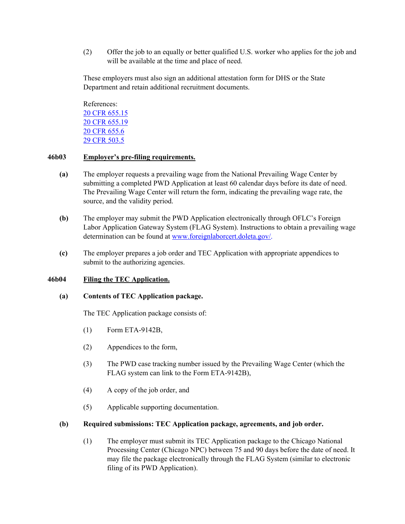(2) Offer the job to an equally or better qualified U.S. worker who applies for the job and will be available at the time and place of need.

These employers must also sign an additional attestation form for DHS or the State Department and retain additional recruitment documents.

References: [20 CFR 655.15](https://ecfr.federalregister.gov/current/title-20/chapter-V/part-655/subpart-A/subject-group-ECFRae4bb67a02047fb/section-655.15) [20 CFR 655.19](https://ecfr.federalregister.gov/current/title-20/chapter-V/part-655/subpart-A/subject-group-ECFRae4bb67a02047fb/section-655.19) [20 CFR 655.6](https://ecfr.federalregister.gov/current/title-20/chapter-V/part-655/subpart-A/section-655.6) [29 CFR 503.5](https://ecfr.federalregister.gov/current/title-29/subtitle-B/chapter-V/subchapter-A/part-503/subpart-A/section-503.5)

## <span id="page-11-0"></span>**46b03 Employer's pre-filing requirements.**

- **(a)** The employer requests a prevailing wage from the National Prevailing Wage Center by submitting a completed PWD Application at least 60 calendar days before its date of need. The Prevailing Wage Center will return the form, indicating the prevailing wage rate, the source, and the validity period.
- **(b)** The employer may submit the PWD Application electronically through OFLC's Foreign Labor Application Gateway System (FLAG System). Instructions to obtain a prevailing wage determination can be found at [www.foreignlaborcert.doleta.gov/.](http://www.foreignlaborcert.doleta.gov/)
- **(c)** The employer prepares a job order and TEC Application with appropriate appendices to submit to the authorizing agencies.

### <span id="page-11-1"></span>**46b04 Filing the TEC Application.**

#### **(a) Contents of TEC Application package.**

The TEC Application package consists of:

- (1) Form ETA-9142B,
- (2) Appendices to the form,
- (3) The PWD case tracking number issued by the Prevailing Wage Center (which the FLAG system can link to the Form ETA-9142B),
- (4) A copy of the job order, and
- (5) Applicable supporting documentation.

#### **(b) Required submissions: TEC Application package, agreements, and job order.**

(1) The employer must submit its TEC Application package to the Chicago National Processing Center (Chicago NPC) between 75 and 90 days before the date of need. It may file the package electronically through the FLAG System (similar to electronic filing of its PWD Application).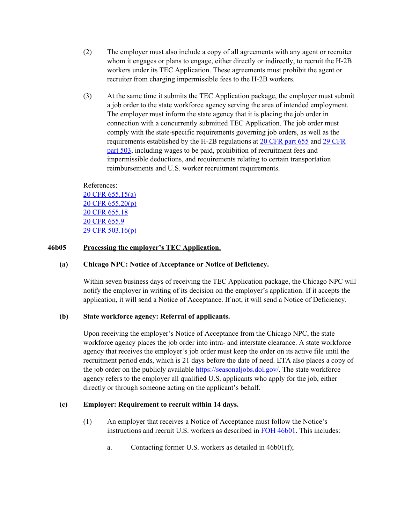- (2) The employer must also include a copy of all agreements with any agent or recruiter whom it engages or plans to engage, either directly or indirectly, to recruit the H-2B workers under its TEC Application. These agreements must prohibit the agent or recruiter from charging impermissible fees to the H-2B workers.
- (3) At the same time it submits the TEC Application package, the employer must submit a job order to the state workforce agency serving the area of intended employment. The employer must inform the state agency that it is placing the job order in connection with a concurrently submitted TEC Application. The job order must comply with the state-specific requirements governing job orders, as well as the requirements established by the H-2B regulations at [20 CFR part 655](https://www.ecfr.gov/current/title-20/chapter-V/part-655/subpart-A/subject-group-ECFR1fea603af3f860d/section-655.48) and [29 CFR](https://www.ecfr.gov/current/title-29/subtitle-B/chapter-V/subchapter-A/part-503/subpart-A/section-503.4)  [part 503,](https://www.ecfr.gov/current/title-29/subtitle-B/chapter-V/subchapter-A/part-503/subpart-A/section-503.4) including wages to be paid, prohibition of recruitment fees and impermissible deductions, and requirements relating to certain transportation reimbursements and U.S. worker recruitment requirements.

References: [20 CFR 655.15\(a\)](https://www.ecfr.gov/cgi-bin/text-idx?node=pt20.3.655&rgn=div5#se20.3.655_115) [20 CFR 655.20\(p\)](https://ecfr.federalregister.gov/current/title-20/chapter-V/part-655/subpart-A/subject-group-ECFR336f15c59465a9a/section-655.20) [20 CFR 655.18](https://ecfr.federalregister.gov/current/title-20/chapter-V/part-655/subpart-A/subject-group-ECFRae4bb67a02047fb/section-655.18) [20 CFR 655.9](https://ecfr.federalregister.gov/current/title-20/chapter-V/part-655/subpart-A/section-655.9) [29 CFR 503.16\(p\)](https://www.ecfr.gov/current/title-29/subtitle-B/chapter-V/subchapter-A/part-503/subpart-B/section-503.16#p-503.16(p)) 

### <span id="page-12-0"></span>**46b05 Processing the employer's TEC Application.**

#### **(a) Chicago NPC: Notice of Acceptance or Notice of Deficiency.**

Within seven business days of receiving the TEC Application package, the Chicago NPC will notify the employer in writing of its decision on the employer's application. If it accepts the application, it will send a Notice of Acceptance. If not, it will send a Notice of Deficiency.

#### **(b) State workforce agency: Referral of applicants.**

Upon receiving the employer's Notice of Acceptance from the Chicago NPC, the state workforce agency places the job order into intra- and interstate clearance. A state workforce agency that receives the employer's job order must keep the order on its active file until the recruitment period ends, which is 21 days before the date of need. ETA also places a copy of the job order on the publicly available [https://seasonaljobs.dol.gov/.](https://seasonaljobs.dol.gov/) The state workforce agency refers to the employer all qualified U.S. applicants who apply for the job, either directly or through someone acting on the applicant's behalf.

### **(c) Employer: Requirement to recruit within 14 days.**

- (1) An employer that receives a Notice of Acceptance must follow the Notice's instructions and recruit U.S. workers as described in [FOH 46b01.](#page-6-2) This includes:
	- a. Contacting former U.S. workers as detailed in 46b01(f);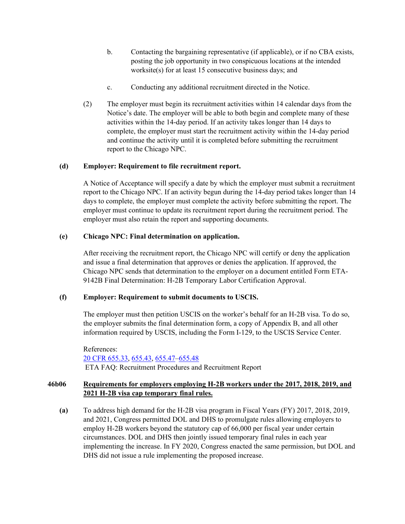- b. Contacting the bargaining representative (if applicable), or if no CBA exists, posting the job opportunity in two conspicuous locations at the intended worksite(s) for at least 15 consecutive business days; and
- c. Conducting any additional recruitment directed in the Notice.
- (2) The employer must begin its recruitment activities within 14 calendar days from the Notice's date. The employer will be able to both begin and complete many of these activities within the 14-day period. If an activity takes longer than 14 days to complete, the employer must start the recruitment activity within the 14-day period and continue the activity until it is completed before submitting the recruitment report to the Chicago NPC.

## **(d) Employer: Requirement to file recruitment report.**

A Notice of Acceptance will specify a date by which the employer must submit a recruitment report to the Chicago NPC. If an activity begun during the 14-day period takes longer than 14 days to complete, the employer must complete the activity before submitting the report. The employer must continue to update its recruitment report during the recruitment period. The employer must also retain the report and supporting documents.

## **(e) Chicago NPC: Final determination on application.**

After receiving the recruitment report, the Chicago NPC will certify or deny the application and issue a final determination that approves or denies the application. If approved, the Chicago NPC sends that determination to the employer on a document entitled Form ETA-9142B Final Determination: H-2B Temporary Labor Certification Approval.

### **(f) Employer: Requirement to submit documents to USCIS.**

The employer must then petition USCIS on the worker's behalf for an H-2B visa. To do so, the employer submits the final determination form, a copy of Appendix B, and all other information required by USCIS, including the Form I-129, to the USCIS Service Center.

References: [20 CFR 655.33,](https://www.ecfr.gov/current/title-20/chapter-V/part-655/subpart-A/subject-group-ECFR3af0a86a8be5d85/section-655.33) [655.43,](https://www.ecfr.gov/current/title-20/chapter-V/part-655/subpart-A/subject-group-ECFR1fea603af3f860d/section-655.43) [655.47](https://www.ecfr.gov/current/title-20/chapter-V/part-655/subpart-A/subject-group-ECFR1fea603af3f860d/section-655.47)[–655.48](https://www.ecfr.gov/current/title-20/chapter-V/part-655/subpart-A/subject-group-ECFR1fea603af3f860d/section-655.48) [ETA FAQ: Recruitment Procedures and Recruitment Report](https://www.dol.gov/sites/dolgov/files/ETA/oflc/pdfs/H-2B_2015_IFR_FAQs_Round7.pdf)

# <span id="page-13-0"></span>**46b06 Requirements for employers employing H-2B workers under the 2017, 2018, 2019, and 2021 H-2B visa cap temporary final rules.**

**(a)** To address high demand for the H-2B visa program in Fiscal Years (FY) 2017, 2018, 2019, and 2021, Congress permitted DOL and DHS to promulgate rules allowing employers to employ H-2B workers beyond the statutory cap of 66,000 per fiscal year under certain circumstances. DOL and DHS then jointly issued temporary final rules in each year implementing the increase. In FY 2020, Congress enacted the same permission, but DOL and DHS did not issue a rule implementing the proposed increase.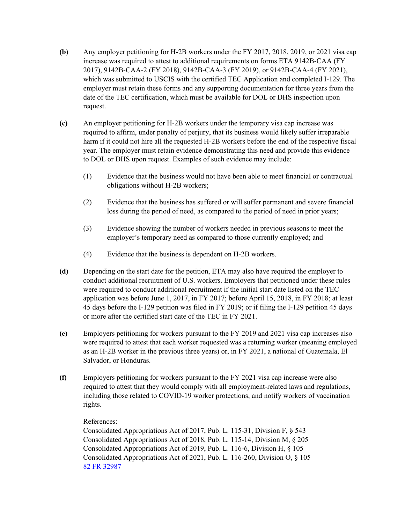- **(b)** Any employer petitioning for H-2B workers under the FY 2017, 2018, 2019, or 2021 visa cap increase was required to attest to additional requirements on forms ETA 9142B-CAA (FY 2017), 9142B-CAA-2 (FY 2018), 9142B-CAA-3 (FY 2019), or 9142B-CAA-4 (FY 2021), which was submitted to USCIS with the certified TEC Application and completed I-129. The employer must retain these forms and any supporting documentation for three years from the date of the TEC certification, which must be available for DOL or DHS inspection upon request.
- **(c)** An employer petitioning for H-2B workers under the temporary visa cap increase was required to affirm, under penalty of perjury, that its business would likely suffer irreparable harm if it could not hire all the requested H-2B workers before the end of the respective fiscal year. The employer must retain evidence demonstrating this need and provide this evidence to DOL or DHS upon request. Examples of such evidence may include:
	- (1) Evidence that the business would not have been able to meet financial or contractual obligations without H-2B workers;
	- (2) Evidence that the business has suffered or will suffer permanent and severe financial loss during the period of need, as compared to the period of need in prior years;
	- (3) Evidence showing the number of workers needed in previous seasons to meet the employer's temporary need as compared to those currently employed; and
	- (4) Evidence that the business is dependent on H-2B workers.
- **(d)** Depending on the start date for the petition, ETA may also have required the employer to conduct additional recruitment of U.S. workers. Employers that petitioned under these rules were required to conduct additional recruitment if the initial start date listed on the TEC application was before June 1, 2017, in FY 2017; before April 15, 2018, in FY 2018; at least 45 days before the I-129 petition was filed in FY 2019; or if filing the I-129 petition 45 days or more after the certified start date of the TEC in FY 2021.
- **(e)** Employers petitioning for workers pursuant to the FY 2019 and 2021 visa cap increases also were required to attest that each worker requested was a returning worker (meaning employed as an H-2B worker in the previous three years) or, in FY 2021, a national of Guatemala, El Salvador, or Honduras.
- **(f)** Employers petitioning for workers pursuant to the FY 2021 visa cap increase were also required to attest that they would comply with all employment-related laws and regulations, including those related to COVID-19 worker protections, and notify workers of vaccination rights.

# References:

Consolidated Appropriations Act of 2017, Pub. L. 115-31, Division F, § 543 Consolidated Appropriations Act of 2018, Pub. L. 115-14, Division M, § 205 Consolidated Appropriations Act of 2019, Pub. L. 116-6, Division H, § 105 Consolidated Appropriations Act of 2021, Pub. L. 116-260, Division O, § 105 [82 FR 32987](https://www.govinfo.gov/content/pkg/FR-2017-07-19/pdf/2017-15208.pdf)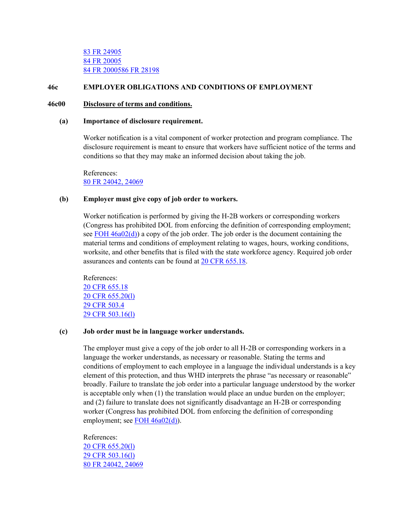### <span id="page-15-0"></span>**46c EMPLOYER OBLIGATIONS AND CONDITIONS OF EMPLOYMENT**

#### <span id="page-15-1"></span>**46c00 Disclosure of terms and conditions.**

#### **(a) Importance of disclosure requirement.**

Worker notification is a vital component of worker protection and program compliance. The disclosure requirement is meant to ensure that workers have sufficient notice of the terms and conditions so that they may make an informed decision about taking the job.

References: [80 FR 24042, 24069](https://www.federalregister.gov/documents/2015/04/29/2015-09694/temporary-non-agricultural-employment-of-h-2b-aliens-in-the-united-states)

### **(b) Employer must give copy of job order to workers.**

Worker notification is performed by giving the H-2B workers or corresponding workers (Congress has prohibited DOL from enforcing the definition of corresponding employment; see FOH  $46a02(d)$ ) a copy of the job order. The job order is the document containing the material terms and conditions of employment relating to wages, hours, working conditions, worksite, and other benefits that is filed with the state workforce agency. Required job order assurances and contents can be found at [20 CFR 655.18.](https://www.ecfr.gov/current/title-20/chapter-V/part-655/subpart-A/subject-group-ECFR893e730513b48f0/section-655.18)

References: 20 CFR 655.18 [20 CFR 655.20\(l\)](https://ecfr.federalregister.gov/current/title-20/chapter-V/part-655/subpart-A/subject-group-ECFR336f15c59465a9a/section-655.20) [29 CFR 503.4](https://ecfr.federalregister.gov/current/title-29/subtitle-B/chapter-V/subchapter-A/part-503/subpart-A/section-503.4) [29 CFR 503.16\(l\)](https://ecfr.federalregister.gov/current/title-29/subtitle-B/chapter-V/subchapter-A/part-503/subpart-B/section-503.16)

#### **(c) Job order must be in language worker understands.**

The employer must give a copy of the job order to all H-2B or corresponding workers in a language the worker understands, as necessary or reasonable. Stating the terms and conditions of employment to each employee in a language the individual understands is a key element of this protection, and thus WHD interprets the phrase "as necessary or reasonable" broadly. Failure to translate the job order into a particular language understood by the worker is acceptable only when (1) the translation would place an undue burden on the employer; and (2) failure to translate does not significantly disadvantage an H-2B or corresponding worker (Congress has prohibited DOL from enforcing the definition of corresponding employment; see [FOH 46a02\(d\)\)](#page-2-0).

References: [20 CFR 655.20\(l\)](https://ecfr.federalregister.gov/current/title-20/chapter-V/part-655/subpart-A/subject-group-ECFR336f15c59465a9a/section-655.20) [29 CFR 503.16\(l\)](https://ecfr.federalregister.gov/current/title-29/subtitle-B/chapter-V/subchapter-A/part-503/subpart-B/section-503.16) [80 FR 24042, 24069](https://www.federalregister.gov/documents/2015/04/29/2015-09694/temporary-non-agricultural-employment-of-h-2b-aliens-in-the-united-states)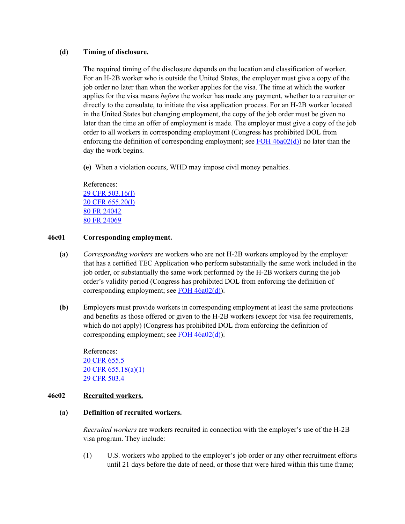### **(d) Timing of disclosure.**

The required timing of the disclosure depends on the location and classification of worker. For an H-2B worker who is outside the United States, the employer must give a copy of the job order no later than when the worker applies for the visa. The time at which the worker applies for the visa means *before* the worker has made any payment, whether to a recruiter or directly to the consulate, to initiate the visa application process. For an H-2B worker located in the United States but changing employment, the copy of the job order must be given no later than the time an offer of employment is made. The employer must give a copy of the job order to all workers in corresponding employment (Congress has prohibited DOL from enforcing the definition of corresponding employment; see FOH  $46a02(d)$ ) no later than the day the work begins.

**(e)** When a violation occurs, WHD may impose civil money penalties.

References: [29 CFR 503.16\(l\)](https://ecfr.federalregister.gov/current/title-29/subtitle-B/chapter-V/subchapter-A/part-503/subpart-B/section-503.16) [20 CFR 655.20\(l\)](https://ecfr.federalregister.gov/current/title-20/chapter-V/part-655/subpart-A/subject-group-ECFR336f15c59465a9a/section-655.20) [80 FR 24042](https://www.federalregister.gov/documents/2015/04/29/2015-09694/temporary-non-agricultural-employment-of-h-2b-aliens-in-the-united-states) [80 FR 24069](https://www.federalregister.gov/documents/2015/04/29/2015-09694/temporary-non-agricultural-employment-of-h-2b-aliens-in-the-united-states)

### <span id="page-16-0"></span>**46c01 Corresponding employment.**

- **(a)** *Corresponding workers* are workers who are not H-2B workers employed by the employer that has a certified TEC Application who perform substantially the same work included in the job order, or substantially the same work performed by the H-2B workers during the job order's validity period (Congress has prohibited DOL from enforcing the definition of corresponding employment; see FOH 46a02(d).
- **(b)** Employers must provide workers in corresponding employment at least the same protections and benefits as those offered or given to the H-2B workers (except for visa fee requirements, which do not apply) (Congress has prohibited DOL from enforcing the definition of corresponding employment; see [FOH 46a02\(d\)\)](#page-2-0).

References: [20 CFR 655.5](https://ecfr.federalregister.gov/current/title-20/chapter-V/part-655/subpart-A/section-655.5) [20 CFR 655.18\(a\)\(1\)](https://ecfr.federalregister.gov/current/title-20/chapter-V/part-655/subpart-A/subject-group-ECFRae4bb67a02047fb/section-655.18#p-655.18(a)(1)) [29 CFR 503.4](https://ecfr.federalregister.gov/current/title-29/subtitle-B/chapter-V/subchapter-A/part-503/subpart-A/section-503.4)

#### <span id="page-16-1"></span>**46c02 Recruited workers.**

### **(a) Definition of recruited workers.**

*Recruited workers* are workers recruited in connection with the employer's use of the H-2B visa program. They include:

(1) U.S. workers who applied to the employer's job order or any other recruitment efforts until 21 days before the date of need, or those that were hired within this time frame;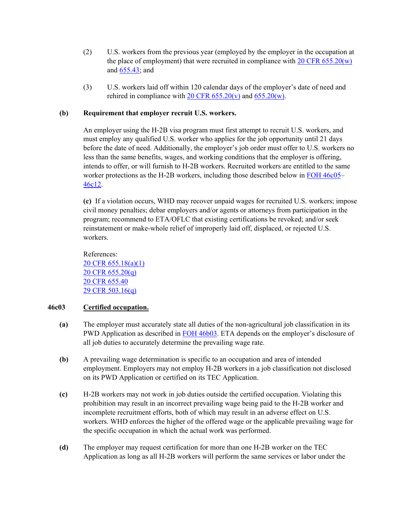- (2) U.S. workers from the previous year (employed by the employer in the occupation at the place of employment) that were recruited in compliance with  $20 \text{ CFR } 655.20(w)$ and [655.43;](https://www.ecfr.gov/current/title-20/chapter-V/part-655/subpart-A/subject-group-ECFR1fea603af3f860d/section-655.43) and
- (3) U.S. workers laid off within 120 calendar days of the employer's date of need and rehired in compliance with 20 CFR  $655.20(v)$  and  $655.20(w)$ .

## **(b) Requirement that employer recruit U.S. workers.**

An employer using the H-2B visa program must first attempt to recruit U.S. workers, and must employ any qualified U.S. worker who applies for the job opportunity until 21 days before the date of need. Additionally, the employer's job order must offer to U.S. workers no less than the same benefits, wages, and working conditions that the employer is offering, intends to offer, or will furnish to H-2B workers. Recruited workers are entitled to the same worker protections as the H-2B workers, including those described below in [FOH 46c05–](#page-19-0) [46c12.](#page-28-0)

**(c)** If a violation occurs, WHD may recover unpaid wages for recruited U.S. workers; impose civil money penalties; debar employers and/or agents or attorneys from participation in the program; recommend to ETA/OFLC that existing certifications be revoked; and/or seek reinstatement or make-whole relief of improperly laid off, displaced, or rejected U.S. workers.

References: [20 CFR 655.18\(a\)\(1\)](https://ecfr.federalregister.gov/current/title-20/chapter-V/part-655/subpart-A/subject-group-ECFRae4bb67a02047fb/section-655.18#p-655.18(a)(1)) [20 CFR 655.20\(q\)](https://ecfr.federalregister.gov/current/title-20/chapter-V/part-655/subpart-A/subject-group-ECFR336f15c59465a9a/section-655.20) [20 CFR 655.40](https://ecfr.federalregister.gov/current/title-20/chapter-V/part-655/subpart-A/subject-group-ECFRea223c282a7e9ad/section-655.40) [29 CFR 503.16\(q\)](https://ecfr.federalregister.gov/current/title-29/subtitle-B/chapter-V/subchapter-A/part-503/subpart-B/section-503.16)

### <span id="page-17-0"></span>**46c03 Certified occupation.**

- **(a)** The employer must accurately state all duties of the non-agricultural job classification in its PWD Application as described in [FOH 46b03.](#page-11-0) ETA depends on the employer's disclosure of all job duties to accurately determine the prevailing wage rate.
- **(b)** A prevailing wage determination is specific to an occupation and area of intended employment. Employers may not employ H-2B workers in a job classification not disclosed on its PWD Application or certified on its TEC Application.
- **(c)** H-2B workers may not work in job duties outside the certified occupation. Violating this prohibition may result in an incorrect prevailing wage being paid to the H-2B worker and incomplete recruitment efforts, both of which may result in an adverse effect on U.S. workers. WHD enforces the higher of the offered wage or the applicable prevailing wage for the specific occupation in which the actual work was performed.
- **(d)** The employer may request certification for more than one H-2B worker on the TEC Application as long as all H-2B workers will perform the same services or labor under the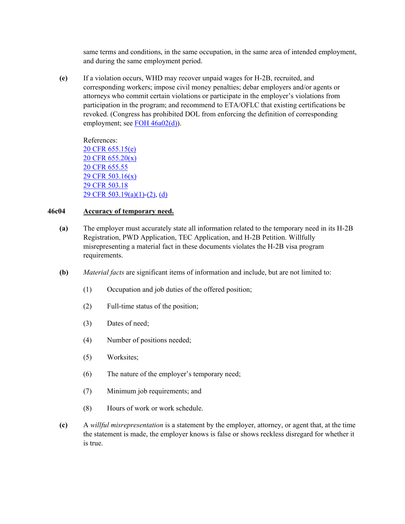same terms and conditions, in the same occupation, in the same area of intended employment, and during the same employment period.

**(e)** If a violation occurs, WHD may recover unpaid wages for H-2B, recruited, and corresponding workers; impose civil money penalties; debar employers and/or agents or attorneys who commit certain violations or participate in the employer's violations from participation in the program; and recommend to ETA/OFLC that existing certifications be revoked. (Congress has prohibited DOL from enforcing the definition of corresponding employment; see  $\overline{FOH}$  46a02(d)).

References: [20 CFR 655.15\(e\)](https://ecfr.federalregister.gov/current/title-20/chapter-V/part-655/subpart-A/subject-group-ECFRae4bb67a02047fb/section-655.15#p-655.15(e)) [20 CFR 655.20\(x\)](https://ecfr.federalregister.gov/current/title-20/chapter-V/part-655/subpart-A/subject-group-ECFR336f15c59465a9a/section-655.20#p-655.20(x)) [20 CFR 655.55](https://ecfr.federalregister.gov/current/title-20/chapter-V/part-655/subpart-A/subject-group-ECFRc79b70cddd40c7c/section-655.55) [29 CFR 503.16\(x\)](https://ecfr.federalregister.gov/current/title-29/subtitle-B/chapter-V/subchapter-A/part-503/subpart-B/section-503.16#p-503.16(x)) [29 CFR 503.18](https://ecfr.federalregister.gov/current/title-29/subtitle-B/chapter-V/subchapter-A/part-503/subpart-B/section-503.18) [29 CFR 503.19\(a\)\(1\)-](https://ecfr.federalregister.gov/current/title-29/subtitle-B/chapter-V/subchapter-A/part-503/subpart-B/section-503.19#p-503.19(a)(1))[\(2\),](https://ecfr.federalregister.gov/current/title-29/subtitle-B/chapter-V/subchapter-A/part-503/subpart-B/section-503.19#p-503.19(a)(2)) [\(d\)](https://ecfr.federalregister.gov/current/title-20/chapter-V/part-655/subpart-A/section-655.9#p-503.19(d))

### <span id="page-18-0"></span>**46c04 Accuracy of temporary need.**

- **(a)** The employer must accurately state all information related to the temporary need in its H-2B Registration, PWD Application, TEC Application, and H-2B Petition. Willfully misrepresenting a material fact in these documents violates the H-2B visa program requirements.
- **(b)** *Material facts* are significant items of information and include, but are not limited to:
	- (1) Occupation and job duties of the offered position;
	- (2) Full-time status of the position;
	- (3) Dates of need;
	- (4) Number of positions needed;
	- (5) Worksites;
	- (6) The nature of the employer's temporary need;
	- (7) Minimum job requirements; and
	- (8) Hours of work or work schedule.
- **(c)** A *willful misrepresentation* is a statement by the employer, attorney, or agent that, at the time the statement is made, the employer knows is false or shows reckless disregard for whether it is true.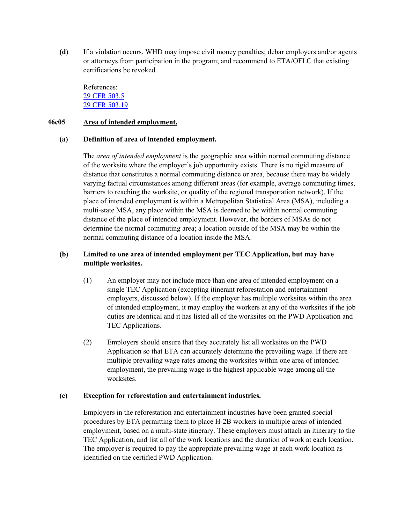**(d)** If a violation occurs, WHD may impose civil money penalties; debar employers and/or agents or attorneys from participation in the program; and recommend to ETA/OFLC that existing certifications be revoked.

References: [29 CFR 503.5](https://ecfr.federalregister.gov/current/title-29/subtitle-B/chapter-V/subchapter-A/part-503/subpart-A/section-503.5) [29 CFR 503.19](https://ecfr.federalregister.gov/current/title-29/subtitle-B/chapter-V/subchapter-A/part-503/subpart-B/section-503.19)

### <span id="page-19-0"></span>**46c05 Area of intended employment.**

#### **(a) Definition of area of intended employment.**

The *area of intended employment* is the geographic area within normal commuting distance of the worksite where the employer's job opportunity exists. There is no rigid measure of distance that constitutes a normal commuting distance or area, because there may be widely varying factual circumstances among different areas (for example, average commuting times, barriers to reaching the worksite, or quality of the regional transportation network). If the place of intended employment is within a Metropolitan Statistical Area (MSA), including a multi-state MSA, any place within the MSA is deemed to be within normal commuting distance of the place of intended employment. However, the borders of MSAs do not determine the normal commuting area; a location outside of the MSA may be within the normal commuting distance of a location inside the MSA.

## **(b) Limited to one area of intended employment per TEC Application, but may have multiple worksites.**

- (1) An employer may not include more than one area of intended employment on a single TEC Application (excepting itinerant reforestation and entertainment employers, discussed below). If the employer has multiple worksites within the area of intended employment, it may employ the workers at any of the worksites if the job duties are identical and it has listed all of the worksites on the PWD Application and TEC Applications.
- (2) Employers should ensure that they accurately list all worksites on the PWD Application so that ETA can accurately determine the prevailing wage. If there are multiple prevailing wage rates among the worksites within one area of intended employment, the prevailing wage is the highest applicable wage among all the worksites.

#### **(c) Exception for reforestation and entertainment industries.**

Employers in the reforestation and entertainment industries have been granted special procedures by ETA permitting them to place H-2B workers in multiple areas of intended employment, based on a multi-state itinerary. These employers must attach an itinerary to the TEC Application, and list all of the work locations and the duration of work at each location. The employer is required to pay the appropriate prevailing wage at each work location as identified on the certified PWD Application.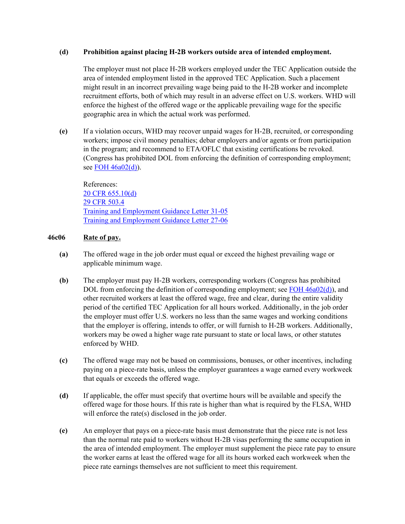## **(d) Prohibition against placing H-2B workers outside area of intended employment.**

The employer must not place H-2B workers employed under the TEC Application outside the area of intended employment listed in the approved TEC Application. Such a placement might result in an incorrect prevailing wage being paid to the H-2B worker and incomplete recruitment efforts, both of which may result in an adverse effect on U.S. workers. WHD will enforce the highest of the offered wage or the applicable prevailing wage for the specific geographic area in which the actual work was performed.

**(e)** If a violation occurs, WHD may recover unpaid wages for H-2B, recruited, or corresponding workers; impose civil money penalties; debar employers and/or agents or from participation in the program; and recommend to ETA/OFLC that existing certifications be revoked. (Congress has prohibited DOL from enforcing the definition of corresponding employment; see [FOH 46a02\(d\)\)](#page-2-0).

References: [20 CFR 655.10\(d\)](https://ecfr.federalregister.gov/current/title-20/chapter-V/part-655/subpart-A/subject-group-ECFR05e6061754462ef/section-655.10) [29 CFR 503.4](https://ecfr.federalregister.gov/current/title-29/subtitle-B/chapter-V/subchapter-A/part-503/subpart-A/section-503.4) [Training and Employment Guidance Letter 31-05](https://wdr.doleta.gov/directives/corr_doc.cfm?DOCN=2228)  [Training and Employment Guidance Letter 27-06](https://wdr.doleta.gov/directives/corr_doc.cfm?DOCN=2446)

## <span id="page-20-0"></span>**46c06 Rate of pay.**

- **(a)** The offered wage in the job order must equal or exceed the highest prevailing wage or applicable minimum wage.
- **(b)** The employer must pay H-2B workers, corresponding workers (Congress has prohibited DOL from enforcing the definition of corresponding employment; see [FOH 46a02\(d\)\)](#page-2-0), and other recruited workers at least the offered wage, free and clear, during the entire validity period of the certified TEC Application for all hours worked. Additionally, in the job order the employer must offer U.S. workers no less than the same wages and working conditions that the employer is offering, intends to offer, or will furnish to H-2B workers. Additionally, workers may be owed a higher wage rate pursuant to state or local laws, or other statutes enforced by WHD.
- **(c)** The offered wage may not be based on commissions, bonuses, or other incentives, including paying on a piece-rate basis, unless the employer guarantees a wage earned every workweek that equals or exceeds the offered wage.
- **(d)** If applicable, the offer must specify that overtime hours will be available and specify the offered wage for those hours. If this rate is higher than what is required by the FLSA, WHD will enforce the rate(s) disclosed in the job order.
- **(e)** An employer that pays on a piece-rate basis must demonstrate that the piece rate is not less than the normal rate paid to workers without H-2B visas performing the same occupation in the area of intended employment. The employer must supplement the piece rate pay to ensure the worker earns at least the offered wage for all its hours worked each workweek when the piece rate earnings themselves are not sufficient to meet this requirement.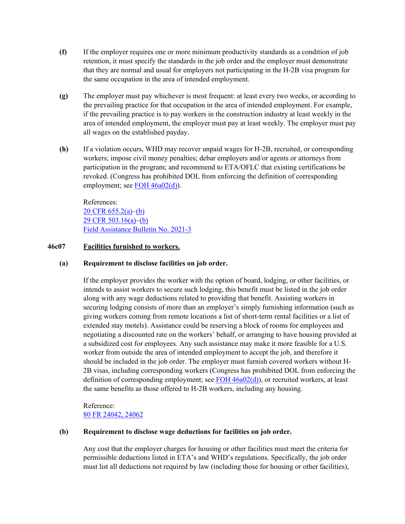- **(f)** If the employer requires one or more minimum productivity standards as a condition of job retention, it must specify the standards in the job order and the employer must demonstrate that they are normal and usual for employers not participating in the H-2B visa program for the same occupation in the area of intended employment.
- **(g)** The employer must pay whichever is most frequent: at least every two weeks, or according to the prevailing practice for that occupation in the area of intended employment. For example, if the prevailing practice is to pay workers in the construction industry at least weekly in the area of intended employment, the employer must pay at least weekly. The employer must pay all wages on the established payday.
- **(h)** If a violation occurs, WHD may recover unpaid wages for H-2B, recruited, or corresponding workers; impose civil money penalties; debar employers and/or agents or attorneys from participation in the program; and recommend to ETA/OFLC that existing certifications be revoked. (Congress has prohibited DOL from enforcing the definition of corresponding employment; see [FOH 46a02\(d\)\)](#page-2-0).

References: 20 CFR [655.2\(a\)–](https://www.ecfr.gov/current/title-20/chapter-V/part-655/subpart-A/subject-group-ECFRae36799c508ea0f/section-655.20#p-655.20(a))[\(b\)](https://www.ecfr.gov/current/title-20/chapter-V/part-655/subpart-A/subject-group-ECFRae36799c508ea0f/section-655.20#p-655.20(b)) [29 CFR 503.16\(a\)–](https://www.ecfr.gov/current/title-29/subtitle-B/chapter-V/subchapter-A/part-503/subpart-B/section-503.16#p-503.16(a))[\(b\)](https://www.ecfr.gov/current/title-29/subtitle-B/chapter-V/subchapter-A/part-503/subpart-B/section-503.16#p-503.16(b)) [Field Assistance Bulletin No. 2021-3](https://www.dol.gov/sites/dolgov/files/WHD/legacy/files/fab_2021_3.pdf)

#### <span id="page-21-0"></span>**46c07 Facilities furnished to workers.**

#### **(a) Requirement to disclose facilities on job order.**

If the employer provides the worker with the option of board, lodging, or other facilities, or intends to assist workers to secure such lodging, this benefit must be listed in the job order along with any wage deductions related to providing that benefit. Assisting workers in securing lodging consists of more than an employer's simply furnishing information (such as giving workers coming from remote locations a list of short-term rental facilities or a list of extended stay motels). Assistance could be reserving a block of rooms for employees and negotiating a discounted rate on the workers' behalf, or arranging to have housing provided at a subsidized cost for employees. Any such assistance may make it more feasible for a U.S. worker from outside the area of intended employment to accept the job, and therefore it should be included in the job order. The employer must furnish covered workers without H-2B visas, including corresponding workers (Congress has prohibited DOL from enforcing the definition of corresponding employment; see FOH  $46a02(d)$ ), or recruited workers, at least the same benefits as those offered to H-2B workers, including any housing.

Reference: [80 FR 24042, 24062](https://www.federalregister.gov/documents/2015/04/29/2015-09694/temporary-non-agricultural-employment-of-h-2b-aliens-in-the-united-states)

#### **(b) Requirement to disclose wage deductions for facilities on job order.**

Any cost that the employer charges for housing or other facilities must meet the criteria for permissible deductions listed in ETA's and WHD's regulations. Specifically, the job order must list all deductions not required by law (including those for housing or other facilities),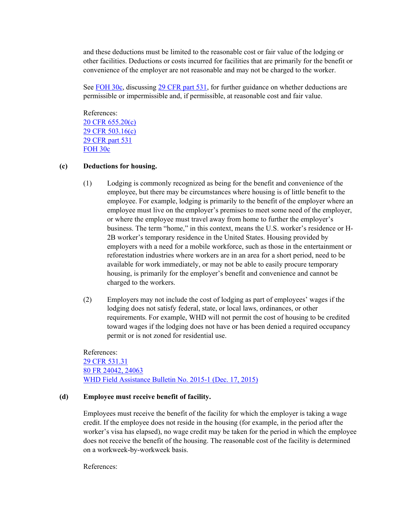and these deductions must be limited to the reasonable cost or fair value of the lodging or other facilities. Deductions or costs incurred for facilities that are primarily for the benefit or convenience of the employer are not reasonable and may not be charged to the worker.

See [FOH 30c,](https://www.dol.gov/agencies/whd/field-operations-handbook/Chapter-30#B30c00) discussing [29 CFR part 531,](https://www.ecfr.gov/current/title-29/subtitle-B/chapter-V/subchapter-A/part-531/subpart-B/section-531.3) for further guidance on whether deductions are permissible or impermissible and, if permissible, at reasonable cost and fair value.

References: [20 CFR 655.20\(c\)](https://ecfr.federalregister.gov/current/title-20/chapter-V/part-655/subpart-A/subject-group-ECFR336f15c59465a9a/section-655.20) [29 CFR 503.16\(c\)](https://ecfr.federalregister.gov/current/title-29/subtitle-B/chapter-V/subchapter-A/part-503/subpart-B/section-503.16) [29 CFR part 531](https://ecfr.federalregister.gov/current/title-29/subtitle-B/chapter-V/subchapter-A/part-531) [FOH 30c](https://www.dol.gov/agencies/whd/field-operations-handbook/Chapter-30#B30c00)

#### **(c) Deductions for housing.**

- (1) Lodging is commonly recognized as being for the benefit and convenience of the employee, but there may be circumstances where housing is of little benefit to the employee. For example, lodging is primarily to the benefit of the employer where an employee must live on the employer's premises to meet some need of the employer, or where the employee must travel away from home to further the employer's business. The term "home," in this context, means the U.S. worker's residence or H-2B worker's temporary residence in the United States. Housing provided by employers with a need for a mobile workforce, such as those in the entertainment or reforestation industries where workers are in an area for a short period, need to be available for work immediately, or may not be able to easily procure temporary housing, is primarily for the employer's benefit and convenience and cannot be charged to the workers.
- (2) Employers may not include the cost of lodging as part of employees' wages if the lodging does not satisfy federal, state, or local laws, ordinances, or other requirements. For example, WHD will not permit the cost of housing to be credited toward wages if the lodging does not have or has been denied a required occupancy permit or is not zoned for residential use.

References: [29 CFR 531.31](https://ecfr.io/Title-29/Section-531.31) [80 FR 24042, 24063](https://www.federalregister.gov/documents/2015/04/29/2015-09694/temporary-non-agricultural-employment-of-h-2b-aliens-in-the-united-states) [WHD Field Assistance Bulletin No. 2015-1 \(Dec. 17, 2015\)](https://www.dol.gov/agencies/whd/field-assistance-bulletins/2015-1)

#### **(d) Employee must receive benefit of facility.**

Employees must receive the benefit of the facility for which the employer is taking a wage credit. If the employee does not reside in the housing (for example, in the period after the worker's visa has elapsed), no wage credit may be taken for the period in which the employee does not receive the benefit of the housing. The reasonable cost of the facility is determined on a workweek-by-workweek basis.

References: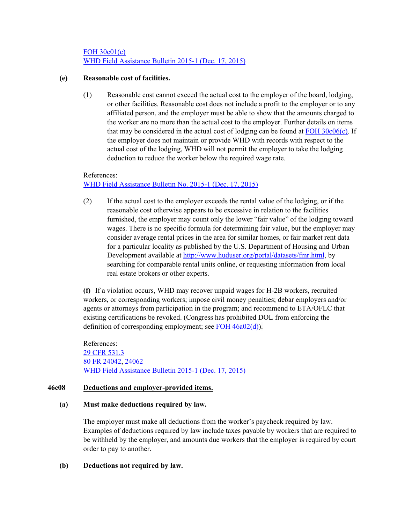[FOH 30c01\(c\)](https://www.dol.gov/agencies/whd/field-operations-handbook/Chapter-30#B30c01) [WHD Field Assistance Bulletin 2015-1 \(Dec. 17, 2015\)](https://www.dol.gov/agencies/whd/field-assistance-bulletins/2015-1)

## **(e) Reasonable cost of facilities.**

(1) Reasonable cost cannot exceed the actual cost to the employer of the board, lodging, or other facilities. Reasonable cost does not include a profit to the employer or to any affiliated person, and the employer must be able to show that the amounts charged to the worker are no more than the actual cost to the employer. Further details on items that may be considered in the actual cost of lodging can be found at  $\overline{FOH}$  30c06(c). If the employer does not maintain or provide WHD with records with respect to the actual cost of the lodging, WHD will not permit the employer to take the lodging deduction to reduce the worker below the required wage rate.

### References:

[WHD Field Assistance Bulletin No. 2015-1 \(Dec. 17, 2015\)](https://www.dol.gov/agencies/whd/field-assistance-bulletins/2015-1)

(2) If the actual cost to the employer exceeds the rental value of the lodging, or if the reasonable cost otherwise appears to be excessive in relation to the facilities furnished, the employer may count only the lower "fair value" of the lodging toward wages. There is no specific formula for determining fair value, but the employer may consider average rental prices in the area for similar homes, or fair market rent data for a particular locality as published by the U.S. Department of Housing and Urban Development available at [http://www.huduser.org/portal/datasets/fmr.html,](http://www.huduser.org/portal/datasets/fmr.html) by searching for comparable rental units online, or requesting information from local real estate brokers or other experts.

**(f)** If a violation occurs, WHD may recover unpaid wages for H-2B workers, recruited workers, or corresponding workers; impose civil money penalties; debar employers and/or agents or attorneys from participation in the program; and recommend to ETA/OFLC that existing certifications be revoked. (Congress has prohibited DOL from enforcing the definition of corresponding employment; see FOH  $46a02(d)$ ).

References: [29 CFR 531.3](https://ecfr.io/Title-29/Section-531.31) [80 FR 24042, 24062](https://www.federalregister.gov/documents/2015/04/29/2015-09694/temporary-non-agricultural-employment-of-h-2b-aliens-in-the-united-states) [WHD Field Assistance Bulletin 2015-1 \(Dec. 17, 2015\)](https://www.dol.gov/agencies/whd/field-assistance-bulletins/2015-1)

### <span id="page-23-0"></span>**46c08 Deductions and employer-provided items.**

### **(a) Must make deductions required by law.**

The employer must make all deductions from the worker's paycheck required by law. Examples of deductions required by law include taxes payable by workers that are required to be withheld by the employer, and amounts due workers that the employer is required by court order to pay to another.

### **(b) Deductions not required by law.**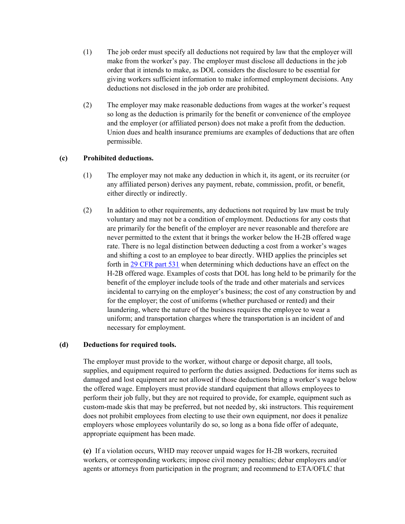- (1) The job order must specify all deductions not required by law that the employer will make from the worker's pay. The employer must disclose all deductions in the job order that it intends to make, as DOL considers the disclosure to be essential for giving workers sufficient information to make informed employment decisions. Any deductions not disclosed in the job order are prohibited.
- (2) The employer may make reasonable deductions from wages at the worker's request so long as the deduction is primarily for the benefit or convenience of the employee and the employer (or affiliated person) does not make a profit from the deduction. Union dues and health insurance premiums are examples of deductions that are often permissible.

## **(c) Prohibited deductions.**

- (1) The employer may not make any deduction in which it, its agent, or its recruiter (or any affiliated person) derives any payment, rebate, commission, profit, or benefit, either directly or indirectly.
- (2) In addition to other requirements, any deductions not required by law must be truly voluntary and may not be a condition of employment. Deductions for any costs that are primarily for the benefit of the employer are never reasonable and therefore are never permitted to the extent that it brings the worker below the H-2B offered wage rate. There is no legal distinction between deducting a cost from a worker's wages and shifting a cost to an employee to bear directly. WHD applies the principles set forth in [29 CFR part 531](https://www.ecfr.gov/current/title-29/subtitle-B/chapter-V/subchapter-A/part-531/subpart-B/section-531.3) when determining which deductions have an effect on the H-2B offered wage. Examples of costs that DOL has long held to be primarily for the benefit of the employer include tools of the trade and other materials and services incidental to carrying on the employer's business; the cost of any construction by and for the employer; the cost of uniforms (whether purchased or rented) and their laundering, where the nature of the business requires the employee to wear a uniform; and transportation charges where the transportation is an incident of and necessary for employment.

### **(d) Deductions for required tools.**

The employer must provide to the worker, without charge or deposit charge, all tools, supplies, and equipment required to perform the duties assigned. Deductions for items such as damaged and lost equipment are not allowed if those deductions bring a worker's wage below the offered wage. Employers must provide standard equipment that allows employees to perform their job fully, but they are not required to provide, for example, equipment such as custom-made skis that may be preferred, but not needed by, ski instructors. This requirement does not prohibit employees from electing to use their own equipment, nor does it penalize employers whose employees voluntarily do so, so long as a bona fide offer of adequate, appropriate equipment has been made.

**(e)** If a violation occurs, WHD may recover unpaid wages for H-2B workers, recruited workers, or corresponding workers; impose civil money penalties; debar employers and/or agents or attorneys from participation in the program; and recommend to ETA/OFLC that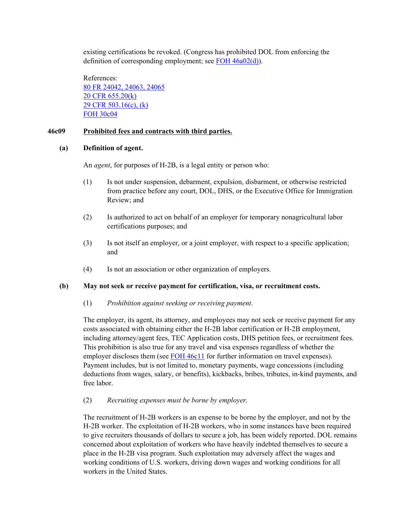existing certifications be revoked. (Congress has prohibited DOL from enforcing the definition of corresponding employment; see [FOH 46a02\(d\)\)](#page-2-0).

References: [80 FR 24042, 24063, 24065](https://www.federalregister.gov/documents/2015/04/29/2015-09694/temporary-non-agricultural-employment-of-h-2b-aliens-in-the-united-states) [20 CFR 655.20\(k\)](https://ecfr.federalregister.gov/current/title-20/chapter-V/part-655/subpart-A/subject-group-ECFR336f15c59465a9a/section-655.20) [29 CFR 503.16\(c\), \(k\)](https://ecfr.federalregister.gov/current/title-29/subtitle-B/chapter-V/subchapter-A/part-503/subpart-B/section-503.16) [FOH 30c04](https://www.dol.gov/agencies/whd/field-operations-handbook/Chapter-30#B30c04)

## **46c09 Prohibited fees and contracts with third parties.**

#### **(a) Definition of agent.**

An *agent*, for purposes of H-2B, is a legal entity or person who:

- (1) Is not under suspension, debarment, expulsion, disbarment, or otherwise restricted from practice before any court, DOL, DHS, or the Executive Office for Immigration Review; and
- (2) Is authorized to act on behalf of an employer for temporary nonagricultural labor certifications purposes; and
- (3) Is not itself an employer, or a joint employer, with respect to a specific application; and
- (4) Is not an association or other organization of employers.

#### **(b) May not seek or receive payment for certification, visa, or recruitment costs.**

#### (1) *Prohibition against seeking or receiving payment*.

The employer, its agent, its attorney, and employees may not seek or receive payment for any costs associated with obtaining either the H-2B labor certification or H-2B employment, including attorney/agent fees, TEC Application costs, DHS petition fees, or recruitment fees. This prohibition is also true for any travel and visa expenses regardless of whether the employer discloses them (see [FOH 46c11](#page-27-0) for further information on travel expenses). Payment includes, but is not limited to, monetary payments, wage concessions (including deductions from wages, salary, or benefits), kickbacks, bribes, tributes, in-kind payments, and free labor.

### (2) *Recruiting expenses must be borne by employer.*

The recruitment of H-2B workers is an expense to be borne by the employer, and not by the H-2B worker. The exploitation of H-2B workers, who in some instances have been required to give recruiters thousands of dollars to secure a job, has been widely reported. DOL remains concerned about exploitation of workers who have heavily indebted themselves to secure a place in the H-2B visa program. Such exploitation may adversely affect the wages and working conditions of U.S. workers, driving down wages and working conditions for all workers in the United States.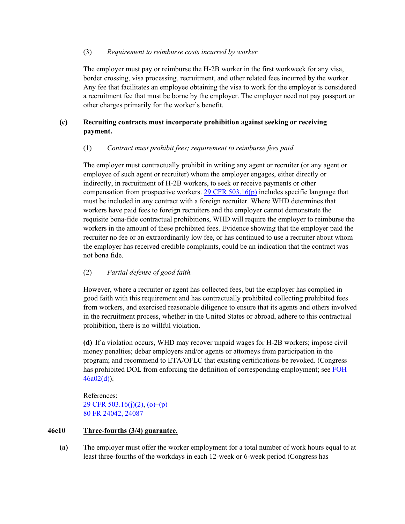## (3) *Requirement to reimburse costs incurred by worker.*

The employer must pay or reimburse the H-2B worker in the first workweek for any visa, border crossing, visa processing, recruitment, and other related fees incurred by the worker. Any fee that facilitates an employee obtaining the visa to work for the employer is considered a recruitment fee that must be borne by the employer. The employer need not pay passport or other charges primarily for the worker's benefit.

# **(c) Recruiting contracts must incorporate prohibition against seeking or receiving payment.**

# (1) *Contract must prohibit fees; requirement to reimburse fees paid.*

The employer must contractually prohibit in writing any agent or recruiter (or any agent or employee of such agent or recruiter) whom the employer engages, either directly or indirectly, in recruitment of H-2B workers, to seek or receive payments or other compensation from prospective workers. 29 CFR  $503.16(p)$  includes specific language that must be included in any contract with a foreign recruiter. Where WHD determines that workers have paid fees to foreign recruiters and the employer cannot demonstrate the requisite bona-fide contractual prohibitions, WHD will require the employer to reimburse the workers in the amount of these prohibited fees. Evidence showing that the employer paid the recruiter no fee or an extraordinarily low fee, or has continued to use a recruiter about whom the employer has received credible complaints, could be an indication that the contract was not bona fide.

# (2) *Partial defense of good faith.*

However, where a recruiter or agent has collected fees, but the employer has complied in good faith with this requirement and has contractually prohibited collecting prohibited fees from workers, and exercised reasonable diligence to ensure that its agents and others involved in the recruitment process, whether in the United States or abroad, adhere to this contractual prohibition, there is no willful violation.

**(d)** If a violation occurs, WHD may recover unpaid wages for H-2B workers; impose civil money penalties; debar employers and/or agents or attorneys from participation in the program; and recommend to ETA/OFLC that existing certifications be revoked. (Congress has prohibited DOL from enforcing the definition of corresponding employment; see [FOH](#page-2-0)   $46a02(d)$ ).

References: [29 CFR 503.16\(j\)\(2\),](https://ecfr.federalregister.gov/current/title-29/subtitle-B/chapter-V/subchapter-A/part-503/subpart-B/section-503.16#p-503.16(j)(2)) [\(o\)](https://ecfr.federalregister.gov/current/title-29/subtitle-B/chapter-V/subchapter-A/part-503/subpart-B/section-503.16#p-503.16(o))[–\(p\)](https://ecfr.federalregister.gov/current/title-29/subtitle-B/chapter-V/subchapter-A/part-503/subpart-B/section-503.16#p-503.16(p)) [80 FR 24042, 24087](https://www.federalregister.gov/documents/2015/04/29/2015-09694/temporary-non-agricultural-employment-of-h-2b-aliens-in-the-united-states)

## <span id="page-26-0"></span>**46c10 Three-fourths (3/4) guarantee.**

**(a)** The employer must offer the worker employment for a total number of work hours equal to at least three-fourths of the workdays in each 12-week or 6-week period (Congress has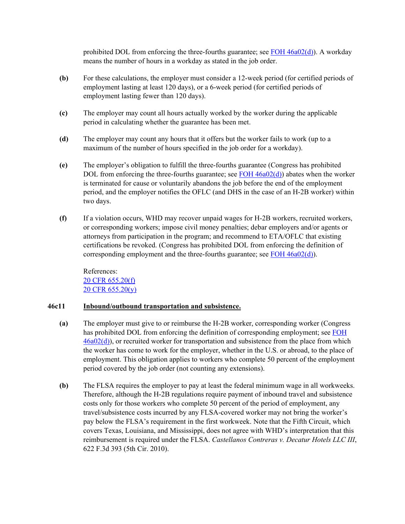prohibited DOL from enforcing the three-fourths guarantee; see FOH  $46a02(d)$ ). A workday means the number of hours in a workday as stated in the job order.

- **(b)** For these calculations, the employer must consider a 12-week period (for certified periods of employment lasting at least 120 days), or a 6-week period (for certified periods of employment lasting fewer than 120 days).
- **(c)** The employer may count all hours actually worked by the worker during the applicable period in calculating whether the guarantee has been met.
- **(d)** The employer may count any hours that it offers but the worker fails to work (up to a maximum of the number of hours specified in the job order for a workday).
- **(e)** The employer's obligation to fulfill the three-fourths guarantee (Congress has prohibited DOL from enforcing the three-fourths guarantee; see FOH  $46a02(d)$ ) abates when the worker is terminated for cause or voluntarily abandons the job before the end of the employment period, and the employer notifies the OFLC (and DHS in the case of an H-2B worker) within two days.
- **(f)** If a violation occurs, WHD may recover unpaid wages for H-2B workers, recruited workers, or corresponding workers; impose civil money penalties; debar employers and/or agents or attorneys from participation in the program; and recommend to ETA/OFLC that existing certifications be revoked. (Congress has prohibited DOL from enforcing the definition of corresponding employment and the three-fourths guarantee; see  $\overline{FOH}$  46a02(d)).

References: [20 CFR 655.20\(f\)](https://ecfr.federalregister.gov/current/title-20/chapter-V/part-655/subpart-A/subject-group-ECFR336f15c59465a9a/section-655.20#p-655.20(f)) [20 CFR 655.20\(y\)](https://www.ecfr.gov/current/title-20/chapter-V/part-655/subpart-A/subject-group-ECFRae36799c508ea0f/section-655.20#p-655.20(y))

### <span id="page-27-0"></span>**46c11 Inbound/outbound transportation and subsistence.**

- **(a)** The employer must give to or reimburse the H-2B worker, corresponding worker (Congress has prohibited DOL from enforcing the definition of corresponding employment; see [FOH](#page-2-0)  [46a02\(d\)\)](#page-2-0), or recruited worker for transportation and subsistence from the place from which the worker has come to work for the employer, whether in the U.S. or abroad, to the place of employment. This obligation applies to workers who complete 50 percent of the employment period covered by the job order (not counting any extensions).
- **(b)** The FLSA requires the employer to pay at least the federal minimum wage in all workweeks. Therefore, although the H-2B regulations require payment of inbound travel and subsistence costs only for those workers who complete 50 percent of the period of employment, any travel/subsistence costs incurred by any FLSA-covered worker may not bring the worker's pay below the FLSA's requirement in the first workweek. Note that the Fifth Circuit, which covers Texas, Louisiana, and Mississippi, does not agree with WHD's interpretation that this reimbursement is required under the FLSA. *Castellanos Contreras v. Decatur Hotels LLC III*, 622 F.3d 393 (5th Cir. 2010).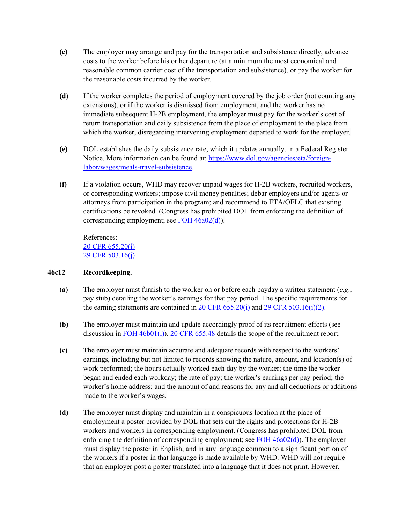- **(c)** The employer may arrange and pay for the transportation and subsistence directly, advance costs to the worker before his or her departure (at a minimum the most economical and reasonable common carrier cost of the transportation and subsistence), or pay the worker for the reasonable costs incurred by the worker.
- **(d)** If the worker completes the period of employment covered by the job order (not counting any extensions), or if the worker is dismissed from employment, and the worker has no immediate subsequent H-2B employment, the employer must pay for the worker's cost of return transportation and daily subsistence from the place of employment to the place from which the worker, disregarding intervening employment departed to work for the employer.
- **(e)** DOL establishes the daily subsistence rate, which it updates annually, in a Federal Register Notice. More information can be found at: [https://www.dol.gov/agencies/eta/foreign](https://www.dol.gov/agencies/eta/foreign-labor/wages/meals-travel-subsistence)[labor/wages/meals-travel-subsistence.](https://www.dol.gov/agencies/eta/foreign-labor/wages/meals-travel-subsistence)
- **(f)** If a violation occurs, WHD may recover unpaid wages for H-2B workers, recruited workers, or corresponding workers; impose civil money penalties; debar employers and/or agents or attorneys from participation in the program; and recommend to ETA/OFLC that existing certifications be revoked. (Congress has prohibited DOL from enforcing the definition of corresponding employment; see [FOH 46a02\(d\)\)](#page-2-0).

References: [20 CFR 655.20\(j\)](https://ecfr.federalregister.gov/current/title-20/chapter-V/part-655/subpart-A/subject-group-ECFR336f15c59465a9a/section-655.20)  [29 CFR 503.16\(j\)](https://ecfr.federalregister.gov/current/title-29/subtitle-B/chapter-V/subchapter-A/part-503/subpart-B/section-503.16)

# <span id="page-28-0"></span>**46c12 Recordkeeping.**

- **(a)** The employer must furnish to the worker on or before each payday a written statement (*e.g*., pay stub) detailing the worker's earnings for that pay period. The specific requirements for the earning statements are contained in 20 CFR  $655.20(i)$  and 29 CFR  $503.16(i)(2)$ .
- **(b)** The employer must maintain and update accordingly proof of its recruitment efforts (see discussion in FOH  $46b01(i)$ ). 20 CFR  $655.48$  details the scope of the recruitment report.
- **(c)** The employer must maintain accurate and adequate records with respect to the workers' earnings, including but not limited to records showing the nature, amount, and location(s) of work performed; the hours actually worked each day by the worker; the time the worker began and ended each workday; the rate of pay; the worker's earnings per pay period; the worker's home address; and the amount of and reasons for any and all deductions or additions made to the worker's wages.
- **(d)** The employer must display and maintain in a conspicuous location at the place of employment a poster provided by DOL that sets out the rights and protections for H-2B workers and workers in corresponding employment. (Congress has prohibited DOL from enforcing the definition of corresponding employment; see [FOH 46a02\(d\)\)](#page-2-0). The employer must display the poster in English, and in any language common to a significant portion of the workers if a poster in that language is made available by WHD. WHD will not require that an employer post a poster translated into a language that it does not print. However,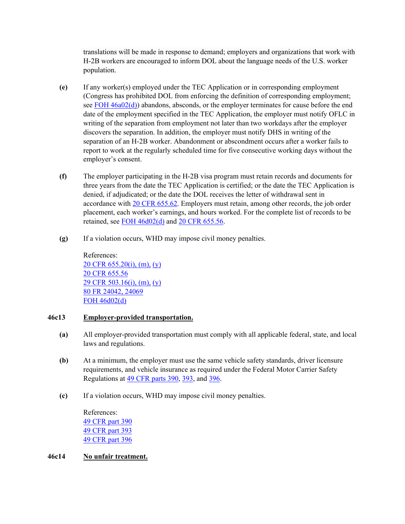translations will be made in response to demand; employers and organizations that work with H-2B workers are encouraged to inform DOL about the language needs of the U.S. worker population.

- **(e)** If any worker(s) employed under the TEC Application or in corresponding employment (Congress has prohibited DOL from enforcing the definition of corresponding employment; see [FOH 46a02\(d\)\)](#page-2-0) abandons, absconds, or the employer terminates for cause before the end date of the employment specified in the TEC Application, the employer must notify OFLC in writing of the separation from employment not later than two workdays after the employer discovers the separation. In addition, the employer must notify DHS in writing of the separation of an H-2B worker. Abandonment or abscondment occurs after a worker fails to report to work at the regularly scheduled time for five consecutive working days without the employer's consent.
- **(f)** The [employer](https://www.law.cornell.edu/definitions/index.php?width=840&height=800&iframe=true&def_id=c85075c422cfa7fab8e60c912bd66040&term_occur=999&term_src=Title:29:Subtitle:B:Chapter:V:Subchapter:A:Part:503:Subpart:B:503.17) participating in the H-2B visa program must retain records and documents for three years from the date the TEC Application is certified; or the date the TEC Application is denied, if adjudicated; or the date the DOL receives the letter of withdrawal sent in accordance with [20 CFR 655.62.](https://www.ecfr.gov/current/title-20/chapter-V/part-655/subpart-A/subject-group-ECFR48f8202e8fd4db2/section-655.62) Employers must retain, among other records, the job order placement, each worker's earnings, and hours worked. For the complete list of records to be retained, see [FOH 46d02\(d\)](#page-32-0) and [20 CFR 655.56.](https://www.ecfr.gov/current/title-20/chapter-V/part-655/subpart-A/subject-group-ECFR6c9d2ee99143e91/section-655.56)
- **(g)** If a violation occurs, WHD may impose civil money penalties.

References: [20 CFR 655.20\(i\),](https://ecfr.federalregister.gov/current/title-20/chapter-V/part-655/subpart-A/subject-group-ECFR336f15c59465a9a/section-655.20) (m), [\(y\)](https://ecfr.federalregister.gov/current/title-20/chapter-V/part-655/subpart-A/subject-group-ECFR336f15c59465a9a/section-655.20) [20 CFR 655.56](https://ecfr.federalregister.gov/current/title-20/chapter-V/part-655/subpart-A/subject-group-ECFRc79b70cddd40c7c/section-655.56) [29 CFR 503.16\(i\), \(m\),](https://ecfr.federalregister.gov/current/title-29/subtitle-B/chapter-V/subchapter-A/part-503/subpart-B/section-503.16) [\(y\)](https://ecfr.federalregister.gov/current/title-29/subtitle-B/chapter-V/subchapter-A/part-503/subpart-B/section-503.16) [80 FR 24042, 24069](https://www.federalregister.gov/documents/2015/04/29/2015-09694/temporary-non-agricultural-employment-of-h-2b-aliens-in-the-united-states) [FOH 46d02\(d\)](#page-32-0)

### <span id="page-29-0"></span>**46c13 Employer-provided transportation.**

- **(a)** All employer-provided transportation must comply with all applicable federal, state, and local laws and regulations.
- **(b)** At a minimum, the employer must use the same vehicle safety standards, driver licensure requirements, and vehicle insurance as required under the Federal Motor Carrier Safety Regulations at [49 CFR parts 390,](https://www.ecfr.gov/current/title-49/subtitle-B/chapter-III/subchapter-B/part-390) [393,](https://www.ecfr.gov/current/title-49/subtitle-B/chapter-III/subchapter-B/part-393) and [396.](https://www.ecfr.gov/current/title-49/subtitle-B/chapter-III/subchapter-B/part-396)
- **(c)** If a violation occurs, WHD may impose civil money penalties.

References: [49 CFR part 390](https://ecfr.federalregister.gov/current/title-49/subtitle-B/chapter-III/subchapter-B/part-390) [49 CFR part 393](https://ecfr.federalregister.gov/current/title-49/subtitle-B/chapter-III/subchapter-B/part-393) [49 CFR part 396](https://ecfr.federalregister.gov/current/title-49/subtitle-B/chapter-III/subchapter-B/part-396)

### <span id="page-29-1"></span>**46c14 No unfair treatment.**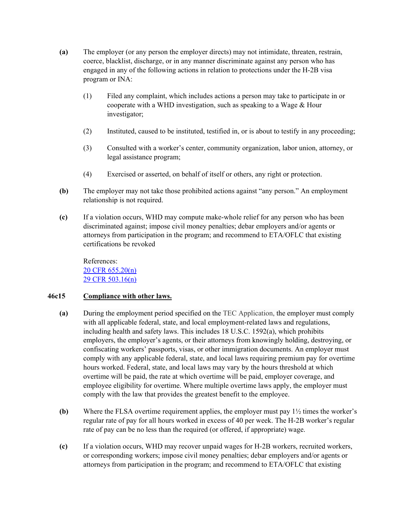- **(a)** The employer (or any person the employer directs) may not intimidate, threaten, restrain, coerce, blacklist, discharge, or in any manner discriminate against any person who has engaged in any of the following actions in relation to protections under the H-2B visa program or INA:
	- (1) Filed any complaint, which includes actions a person may take to participate in or cooperate with a WHD investigation, such as speaking to a Wage & Hour investigator;
	- (2) Instituted, caused to be instituted, testified in, or is about to testify in any proceeding;
	- (3) Consulted with a worker's center, community organization, labor union, attorney, or legal assistance program;
	- (4) Exercised or asserted, on behalf of itself or others, any right or protection.
- **(b)** The employer may not take those prohibited actions against "any person." An employment relationship is not required.
- **(c)** If a violation occurs, WHD may compute make-whole relief for any person who has been discriminated against; impose civil money penalties; debar employers and/or agents or attorneys from participation in the program; and recommend to ETA/OFLC that existing certifications be revoked

References: [20 CFR 655.20\(n\)](https://ecfr.federalregister.gov/current/title-20/chapter-V/part-655/subpart-A/subject-group-ECFR336f15c59465a9a/section-655.20) [29 CFR 503.16\(n\)](https://ecfr.federalregister.gov/current/title-29/subtitle-B/chapter-V/subchapter-A/part-503/subpart-B/section-503.16) 

# <span id="page-30-0"></span>**46c15 Compliance with other laws.**

- **(a)** During the employment period specified on the TEC Application, the employer must comply with all applicable federal, state, and local employment-related laws and regulations, including health and safety laws. This includes 18 U.S.C. 1592(a), which prohibits employers, the employer's agents, or their attorneys from knowingly holding, destroying, or confiscating workers' passports, visas, or other immigration documents. An employer must comply with any applicable federal, state, and local laws requiring premium pay for overtime hours worked. Federal, state, and local laws may vary by the hours threshold at which overtime will be paid, the rate at which overtime will be paid, employer coverage, and employee eligibility for overtime. Where multiple overtime laws apply, the employer must comply with the law that provides the greatest benefit to the employee.
- **(b)** Where the FLSA overtime requirement applies, the employer must pay 1½ times the worker's regular rate of pay for all hours worked in excess of 40 per week. The H-2B worker's regular rate of pay can be no less than the required (or offered, if appropriate) wage.
- **(c)** If a violation occurs, WHD may recover unpaid wages for H-2B workers, recruited workers, or corresponding workers; impose civil money penalties; debar employers and/or agents or attorneys from participation in the program; and recommend to ETA/OFLC that existing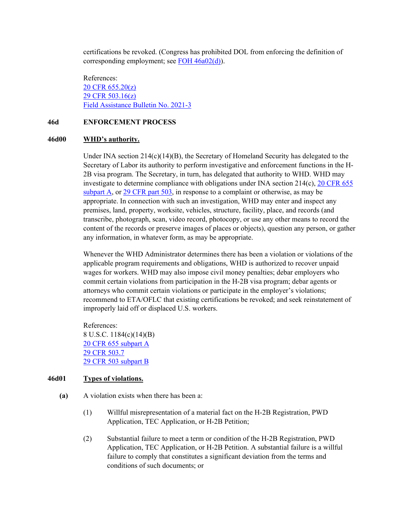certifications be revoked. (Congress has prohibited DOL from enforcing the definition of corresponding employment; see [FOH 46a02\(d\)\)](#page-2-0).

References: [20 CFR 655.20\(z\)](https://www.ecfr.gov/current/title-20/chapter-V/part-655/subpart-A/subject-group-ECFRae36799c508ea0f/section-655.20#p-655.20(z)) [29 CFR 503.16\(z\)](https://www.ecfr.gov/current/title-29/subtitle-B/chapter-V/subchapter-A/part-503/subpart-B/section-503.16#p-503.16(z))  [Field Assistance Bulletin No. 2021-3](https://www.dol.gov/sites/dolgov/files/WHD/legacy/files/fab_2021_3.pdf)

#### <span id="page-31-0"></span>**46d ENFORCEMENT PROCESS**

#### <span id="page-31-1"></span>**46d00 WHD's authority.**

Under INA section 214(c)(14)(B), the Secretary of Homeland Security has delegated to the Secretary of Labor its authority to perform investigative and enforcement functions in the H-2B visa program. The Secretary, in turn, has delegated that authority to WHD. WHD may investigate to determine compliance with obligations under INA section 214(c), [20 CFR](https://www.ecfr.gov/current/title-20/chapter-V/part-655/subpart-A/subject-group-ECFRae36799c508ea0f/section-655.20) 655 [subpart A,](https://www.ecfr.gov/current/title-20/chapter-V/part-655/subpart-A/subject-group-ECFRae36799c508ea0f/section-655.20) or  $29$  CFR part  $503$ , in response to a complaint or otherwise, as may be appropriate. In connection with such an investigation, WHD may enter and inspect any premises, land, property, worksite, vehicles, structure, facility, place, and records (and transcribe, photograph, scan, video record, photocopy, or use any other means to record the content of the records or preserve images of places or objects), question any person, or gather any information, in whatever form, as may be appropriate.

Whenever the WHD Administrator determines there has been a violation or violations of the applicable program requirements and obligations, WHD is authorized to recover unpaid wages for workers. WHD may also impose civil money penalties; debar employers who commit certain violations from participation in the H-2B visa program; debar agents or attorneys who commit certain violations or participate in the employer's violations; recommend to ETA/OFLC that existing certifications be revoked; and seek reinstatement of improperly laid off or displaced U.S. workers.

References: 8 U.S.C. 1184(c)(14)(B) [20 CFR 655 subpart A](https://ecfr.federalregister.gov/current/title-20/chapter-V/part-655) [29 CFR 503.7](https://ecfr.federalregister.gov/current/title-29/subtitle-B/chapter-V/subchapter-A/part-503/subpart-A/section-503.7) [29 CFR 503 subpart B](https://www.ecfr.gov/current/title-29/subtitle-B/chapter-V/subchapter-A/part-503#subpart-B)

### <span id="page-31-2"></span>**46d01 Types of violations.**

- **(a)** A violation exists when there has been a:
	- (1) Willful misrepresentation of a material fact on the H-2B Registration, PWD Application, TEC Application, or H-2B Petition;
	- (2) Substantial failure to meet a term or condition of the H-2B Registration, PWD Application, TEC Application, or H-2B Petition. A substantial failure is a willful failure to comply that constitutes a significant deviation from the terms and conditions of such documents; or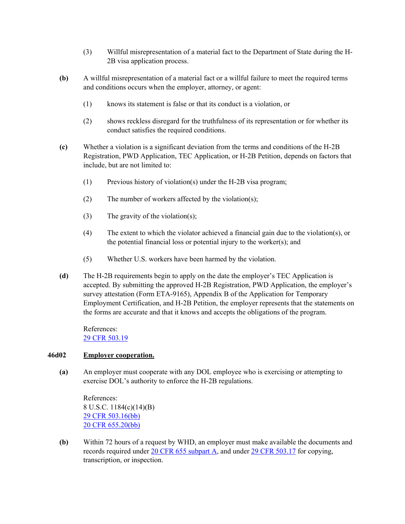- (3) Willful misrepresentation of a material fact to the Department of State during the H-2B visa application process.
- **(b)** A willful misrepresentation of a material fact or a willful failure to meet the required terms and conditions occurs when the employer, attorney, or agent:
	- (1) knows its statement is false or that its conduct is a violation, or
	- (2) shows reckless disregard for the truthfulness of its representation or for whether its conduct satisfies the required conditions.
- **(c)** Whether a violation is a significant deviation from the terms and conditions of the H-2B Registration, PWD Application, TEC Application, or H-2B Petition, depends on factors that include, but are not limited to:
	- (1) Previous history of violation(s) under the H-2B visa program;
	- (2) The number of workers affected by the violation(s);
	- (3) The gravity of the violation(s);
	- (4) The extent to which the violator achieved a financial gain due to the violation(s), or the potential financial loss or potential injury to the worker(s); and
	- (5) Whether U.S. workers have been harmed by the violation.
- **(d)** The H-2B requirements begin to apply on the date the employer's TEC Application is accepted. By submitting the approved H-2B Registration, PWD Application, the employer's survey attestation (Form ETA-9165), Appendix B of the Application for Temporary Employment Certification, and H-2B Petition, the employer represents that the statements on the forms are accurate and that it knows and accepts the obligations of the program.

References: [29 CFR 503.19](https://ecfr.federalregister.gov/current/title-29/subtitle-B/chapter-V/subchapter-A/part-503/subpart-B/section-503.19)

## <span id="page-32-0"></span>**46d02 Employer cooperation.**

**(a)** An employer must cooperate with any DOL employee who is exercising or attempting to exercise DOL's authority to enforce the H-2B regulations.

References: 8 U.S.C. 1184(c)(14)(B) [29 CFR 503.16\(bb\)](https://ecfr.federalregister.gov/current/title-29/subtitle-B/chapter-V/subchapter-A/part-503/subpart-B/section-503.16#p-503.16(bb)) [20 CFR 655.20\(bb\)](https://www.ecfr.gov/current/title-20/chapter-V/part-655/subpart-A/subject-group-ECFRae36799c508ea0f/section-655.20#p-655.20(bb))

**(b)** Within 72 hours of a request by WHD, an employer must make available the documents and records required under 20 CFR [655 subpart A,](https://www.ecfr.gov/current/title-20/chapter-V/part-655/subpart-A/subject-group-ECFRae36799c508ea0f/section-655.20) and under [29 CFR 503.17](https://www.ecfr.gov/current/title-29/subtitle-B/chapter-V/subchapter-A/part-503/subpart-B/section-503.17) for copying, transcription, or inspection.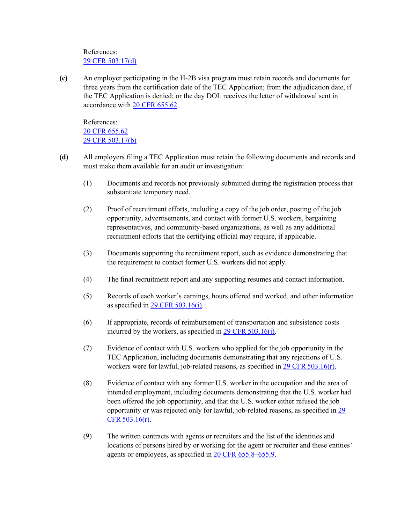## References: [29 CFR 503.17\(d\)](https://ecfr.federalregister.gov/current/title-29/subtitle-B/chapter-V/subchapter-A/part-503/subpart-B/section-503.17)

**(c)** An employer participating in the H-2B visa program must retain records and documents for three years from the certification date of the TEC Application; from the adjudication date, if the TEC Application is denied; or the day DOL receives the letter of withdrawal sent in accordance with [20 CFR 655.62.](https://www.ecfr.gov/current/title-20/chapter-V/part-655/subpart-A/subject-group-ECFR48f8202e8fd4db2/section-655.62)

References: [20 CFR 655.62](https://ecfr.federalregister.gov/current/title-20/chapter-V/part-655/subpart-A/subject-group-ECFR880ee291a870785/section-655.62) 29 [CFR 503.17\(b\)](https://ecfr.federalregister.gov/current/title-29/subtitle-B/chapter-V/subchapter-A/part-503/subpart-B/section-503.17)

- **(d)** All employers filing a TEC Application must retain the following documents and records and must make them available for an audit or investigation:
	- (1) Documents and records not previously submitted during the registration process that substantiate temporary need.
	- (2) Proof of recruitment efforts, including a copy of the job order, posting of the job opportunity, advertisements, and contact with former U.S. workers, bargaining representatives, and community-based organizations, as well as any additional recruitment efforts that the certifying official may require, if applicable.
	- (3) Documents supporting the recruitment report, such as evidence demonstrating that the requirement to contact former U.S. workers did not apply.
	- (4) The final recruitment report and any supporting resumes and contact information.
	- (5) Records of each worker's earnings, hours offered and worked, and other information as specified in [29 CFR 503.16\(i\)](https://www.ecfr.gov/current/title-29/subtitle-B/chapter-V/subchapter-A/part-503/subpart-B/section-503.16#p-503.16(i)).
	- (6) If appropriate, records of reimbursement of transportation and subsistence costs incurred by the workers, as specified in 29 CFR [503.16\(j\).](https://www.ecfr.gov/current/title-29/subtitle-B/chapter-V/subchapter-A/part-503/subpart-B/section-503.16#p-503.16(j))
	- (7) Evidence of contact with U.S. workers who applied for the job opportunity in the TEC Application, including documents demonstrating that any rejections of U.S. workers were for lawful, job-related reasons, as specified in [29 CFR 503.16\(r\)](https://www.ecfr.gov/current/title-29/subtitle-B/chapter-V/subchapter-A/part-503/subpart-B/section-503.16#p-503.16(r)).
	- (8) Evidence of contact with any former U.S. worker in the occupation and the area of intended employment, including documents demonstrating that the U.S. worker had been offered the job opportunity, and that the U.S. worker either refused the job opportunity or was rejected only for lawful, job-related reasons, as specified in [29](https://www.ecfr.gov/current/title-29/subtitle-B/chapter-V/subchapter-A/part-503/subpart-B/section-503.16#p-503.16(r))  [CFR 503.16\(r\)](https://www.ecfr.gov/current/title-29/subtitle-B/chapter-V/subchapter-A/part-503/subpart-B/section-503.16#p-503.16(r)).
	- (9) The written contracts with agents or recruiters and the list of the identities and locations of persons hired by or working for the agent or recruiter and these entities' agents or employees, as specified in [20 CFR 655.8](https://www.ecfr.gov/current/title-20/chapter-V/part-655/subpart-A/section-655.8)[–655.9.](https://www.ecfr.gov/current/title-20/chapter-V/part-655/subpart-A/section-655.9)